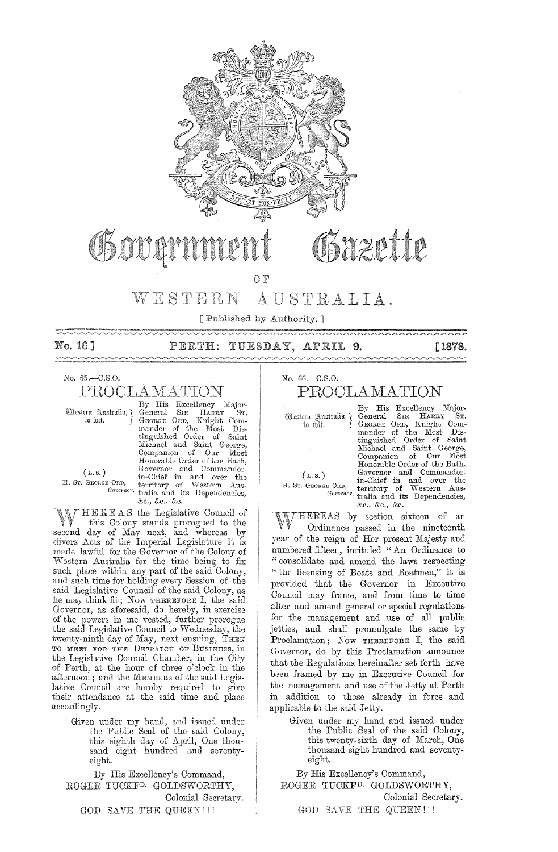

# Sazette

 $O$   $F$ 

#### WESTERN AUSTRALIA.

[Published by Authority.] 

No. 16.1

# PERTH: TUESDAY, APRIL 9.

**[1878.** 

# No. 65.-C.S.O.

PROCLAMATION

Mestern Anstralia, ? to lait.

By His Excellency Major-<br>
By His Excellency Major-<br>
General SIR HARRY ST.<br>
GEORGE ORD, Knight Com-<br>
mander of the Most Dis-<br>
tinguished Order of Saint<br>
Michael and Saint George,<br>
Companion of Our Most<br>
Noncource Dan Most Honorable Order of the Bath, Holorance Order of General<br>
Governor and Commander-<br>
in-Chief in and over the<br>
E ORD, territory of Western Aus-<br>
Governor tralia and its Dependencies, &c., &c., &c.

 $(L, S, )$ H. ST. GEORGE ORD,

HEREAS the Legislative Council of W this Colony stands prorogued to the second day of May next, and whereas by divers Acts of the Imperial Legislature it is made lawful for the Governor of the Colony of Western Australia for the time being to fix such place within any part of the said Colony, and such time for holding every Session of the<br>said Legislative Council of the said Colony, as he may think fit; Now THEREFORE I, the said Governor, as aforesaid, do hereby, in exercise of the powers in me vested, further prorogue<br>the said Legislative Council to Wednesday, the twenty-ninth day of May, next ensuing, THEN TO MEET FOR THE DESPATCH OF BUSINESS, in the Legislative Council Chamber, in the City of Perth, at the hour of three o'clock in the afternoon; and the MEMBERS of the said Legislative Council are hereby required to give<br>their attendance at the said time and place accordingly.

Given under my hand, and issued under<br>the Public Seal of the said Colony, this eighth day of April, One thousand eight hundred and seventyeight.

By His Excellency's Command, ROGER TUCKF<sup>D.</sup> GOLDSWORTHY, Colonial Secretary. GOD SAVE THE QUEEN!!!

No. 66.-C.S.O.

# PROCLAMATION

Mestern Australia, ¿ to hit.

 $(L, S, )$ 

H. ST. GEORGE ORD,

By His Excellency Major-General SIR HARRY ST.<br>GEORGE ORD, Knight Commander of the Most Distinguished Order of Saint Michael and Saint George, Companion of Our Most<br>Honorable Order of the Bath, Exercise the commander of the bath, the commander in-Chief in and over the territory of Western Australia and its Dependencies, &c., &c., &c.

THEREAS by section sixteen of an Ordinance passed in the nineteenth year of the reign of Her present Majesty and numbered fifteen, intituled "An Ordinance to "consolidate and amend the laws respecting "the licensing of Boats and Boatmen," it is provided that the Governor in Executive Council may frame, and from time to time alter and amend general or special regulations for the management and use of all public jetties, and shall promulgate the same by Proclamation; Now THEREFORE I, the said Governor, do by this Proclamation announce that the Regulations hereinafter set forth have been framed by me in Executive Council for the management and use of the Jetty at Perth in addition to those already in force and applicable to the said Jetty.

Given under my hand and issued under the Public Seal of the said Colony, this twenty-sixth day of March, One thousand eight hundred and seventyeight.

By His Excellency's Command, ROGER TUCKF<sup>D.</sup> GOLDSWORTHY, Colonial Secretary. GOD SAVE THE QUEEN!!!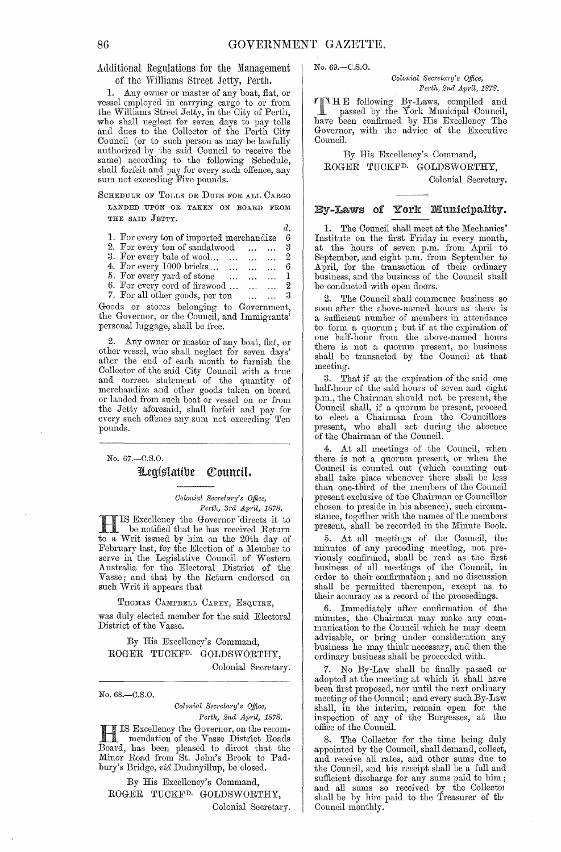Additional Regulations for the Management of the Williams Street Jetty, Perth.

1. Any owner or master of any boat, flat, or vessel employed in carrying cargo to or from the Williams Street Jetty, in the City of Perth, who shall neglect for seven days to pay tolls and dues to the Collector of the Perth City Council (or to such person as may be lawfully authorized by the said Council to receive the same) according to the following Schedule, shall forfeit and pay for every such offence, any sum not exceeding Five pounds.

SCHEDULE OF TOLLS OR DUES FOR ALL CARGO LANDED UPON OR TAKEN ON BOARD FROM THE SAID JETTY.

|                                                                           | d.                       |
|---------------------------------------------------------------------------|--------------------------|
| 1. For every ton of imported merchandize                                  | 6                        |
| 2. For every ton of sandalwood<br>$\cdots$ $\cdots$                       | - 3                      |
| 3. For every bale of wool $\ldots$ 2                                      |                          |
| 4. For every 1000 bricks<br>$\ldots$ $\ldots$ 6                           |                          |
| 5. For every yard of stone<br>1<br>$\cdots$                               |                          |
| 6. For every cord of firewood $\dots$ $\dots$ $\dots$ 2                   |                          |
| 7. For all other goods, per ton<br>$\mathbf{r}$ . The set of $\mathbf{r}$ | $\overline{\phantom{a}}$ |
| and a mission holomonic to<br>$\alpha$ . In the case of $\alpha$          |                          |

Goods or stores belonging to Government, the Governor, or the Council, and Immigrants' personal luggage, shall be free.

2. Any owner or master of any boat, flat, or other vessel, who shall neglect for seven days' after the end of each month to furnish the Collector of the said City Council with a true and correct statement of the quantity of merchandize and other goods taken on board or landed from such boat or vessel on or from the Jetty aforesaid, shall forfeit and pay for every such offence any sum not exceeding Ten pounds.

No. 67.-C.S.0. Legíslatíbe Council.

> *Colonial Secretary's Office, Perth, 3j'cl April, 1878.*

**HIS Excellency the Governor directs it to**<br>be notified that he has received Return be notified that he has received Return to a Writ issued by him on the 20th day of February last, for the Election of a Member to serve in the Legislative Council of Western Australia for the Electoral District of the Vasse; and that by the Return endorsed on such Writ it appears that

THOMAS CAMPBELL CAREY, ESQUIRE,

was duly elected member for the said Electoral District of the Vasse.

By His Excellency's Command, ROGER TUCKFD. GOLDSWORTHY, Colonial Secretary.

No. 68.-C.S.0.

*Colonial Secretary's Office, Pej·th, 2nd Apj'il, 1878.* 

**J**<br>Banneed Perth, 2nd April, 1878.<br>IS Excellency the Governor, on the recommendation of the Vasse District Roads Board, has been pleased to direct that the Minor Road from St. John's Brook to Padbury's Bridge, *via* Dudmyillup, be closed.

By His Excellency's Command, ROGER TUCKFD. GOLDSWORTHY, Colonial Secretary. No. 69.-C.S.O.

*Colonial Secretary's Office. Pm·th, 2nd April, 1878.* 

T HE following By-Laws, compiled and passed by the York Municipal Council, have been confirmed by His Excellency The Governor, with the advice of the Executive Council.

By His Excellency's Command, ROGER TUCKFD. GOLDSWORTHY, Colonial Secretary.

### By-Laws of York Municipality.

1. The Council shall meet at the Mechanics' Institute on the first Friday in every month, at the hours of seven p.m. from April to September, and eight p.m. from September to April, for the transaction of their ordinary business, and the business of the Council shall be conducted with open doors.

2. The Council shall commence business so soon after the above-named hours as there is a sufficient number of memhers in attendance to form a quorum; but if at the expiration of one half-hour from the above-named hours there is not a quorum present, no business shall be transacted by the Council at that meeting.

3. That if at the expiration of the said one half-hour of the said hours of seven and eight p.m., the Chairman should not be present, the Council shall, if a quorum be present, proceed to elect a Chairman from the Councillors present, who shall act during the absenee of the Chairman of the Council.

At all meetings of the Council, when there is not a quorum present, or when the Council is counted out (which counting out shall take place whenever there shall be less than one-third of the memhers of the Council present exclusive of the Chainnan or Councillor chosen to preside in his absence), such circumstance, together with the names of the members present, shall be recorded in the Minute Book.

5. At all meetings of the Council, the minutes of any preceding meeting, not previously confirmed, shall be read as the first business of all meetings of the Council, in order to their confirmation; and no discussion shall be permitted thereupon, except as to their accuracy as a record of the proceedings.

6. Immediately after confirmation of the minutes, the Chairman may make any communication to the Council which he may deem advisable, or bring under consideration any business he may think necessary, and then the ordinary business shall be proceeded with.

7. No By-Law shall be finally passed or adopted at the meeting at which it shall have been first proposed, nor until the next ordinary meeting of the Council; and every such By-Law shall, in the interim, remain open for the inspection of any of the Burgesses, at the office of the Council.

8. The Collector for the time being duly appointed by the Council, shall demand, collect, and receive all rates, and other sums due to the Council, and his receipt shall be a full and sufficient discharge for any sums paid to him; and all sums so received by the Collector shall be by him paid to the Treasurer of th' Council monthly.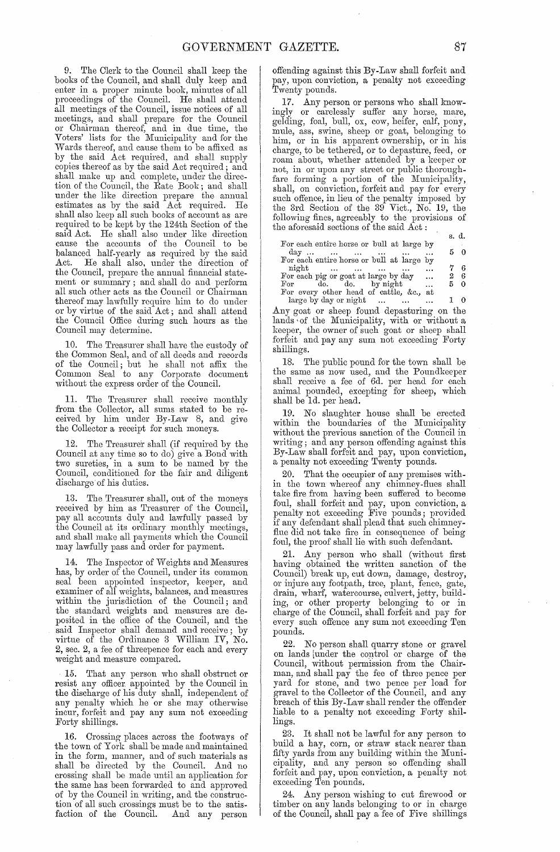9. The Clerk to the Council shall keep the books of the Council, and shall duly keep and enter in a proper minute book, minutes of all proceedings of the Council. He shall attend all meetings of the Council, issue notices of all meetings, and shall prepare for the Council or Chairman thereof, and in due time, the Voters' lists for the Municipality and for the Wards thereof, and cause them to be affixed as by the said Act required, and shall supply copies thereof as by the said Act required; and shall make up and complete, under the direction of the Council, the Rate Book; and shall under the like direction prepare the annual estimates as by the said Act required. He shall also keep all such books of account as are required to be kept by the 124th Section of the said Act. He shall also under like direction cause the accounts of the Council to be balanced half-yearly as required by the said Act. He shall also, under the direction of He shall also, under the direction of the Council, prepare the annual financial statement or summary; and shall do and perform all such other acts as the Council or Chairman thereof may lawfully require him to do under 01' by virtue of the said Act; and shall attend the Council Office during such hours as the Council may determine.

10. The Treasurer shall have the custody of the Common Seal, and of all deeds and records of the Council; but he shall not affix the Common Seal to any Corporate document without the express order of the Council.

11. The Treasurer shall receive monthly from the Collector, all sums stated to be received by him under By-Law 8, and give the Collector a receipt for such moneys.

12. The Treasurer shall (if required by the Council at any time so to do) give a Bond with two sureties, in a sum to be named by the Council, conditioned for the fair and diligent discharge of his duties.

13. The Treasurer shall, out of the moneys received by him as Treasurer of the Council, pay all accounts duly and lawfully passed by the Council at its ordinary monthly meetings, and shall make all payments which the Council may lawfully pass and order for payment.

14. The Inspector of Weights and Measures has, by order of the Council, under its common seal been appointed inspector, keeper, and examiner of all weights, balances, and measures within the jurisdiction of the Council; and the standard weights and measures are deposited in the office of the Council, and the said Inspector shall demand and receive; by virtue of the Ordinance 3 William IV, No. 2, sec. 2, a fee of threepence for each and every weight and measure compared.

15. That any person who shall obstruct or resist any officer appointed by the Council in the discharge of his duty shall, independent of any penalty which he or she may otherwise incur, forfeit and pay any sum not exceeding Forty shillings.

16. Crossing' places across the footways of the town of York shall be made and maintained in the form, manner, and of such materials as shall be directed by the Council. And no crossing shall be made until an application for the same has been forwarded to and approved of by the Council in writing, and the construction of all such crossings must be to the satis-<br>faction of the Council. And any person faction of the Council.

offending against this By-Law shall forfeit and pay, upon conviction, a penalty not exceeding Twenty pounds.

17. Any person or persons who shall knowingly or carelessly suffer any horse, mare, gelding, foal, bull, ox, cow, heifer, calf, pony, mule, ass, swine, sheep or goat, belonging to him, or in his apparent ownership, or in his charge, to be tethered, or to depasture, feed, or roam about, whether attended by a keeper or not, in or upon any street or public thoroughfare forming a portion of the Municipality, shall, on conviction, forfeit and pay for every such offence, in lieu of the penalty imposed by the 3rd Section of the 39 Vict., No. 19, the following fines, agreeably to the provisions of the aforesaid sections of the said Act:

For each entire horse or bull at large by day ... For each entire horse or bull at large by s. d. 5 0  $\begin{array}{cc} 7 & 6 \\ 2 & 6 \end{array}$ 

night For each pig or goat at large by day For do. do. by night For every other head of cattle, &c., at  $\begin{matrix} 2 & 6 \\ 5 & 0 \end{matrix}$  $\bf 5$ 

large by day or night  $\dots \dots \dots \dots 1 \quad 0$ Any goat or sheep found depasturing on the lands of the Municipality, with or without a keeper, the owner of such goat or sheep shall forfeit and pay any sum not exceeding Forty shillings.

18. The public pound for the town shall be the same as now used, and the Poundkeeper shall receive a fee of 6d. per head for each animal pounded, excepting for sheep, which shall be Id. per head.

19. No slaughter house shall be erected within the boundaries of the Municipality without the previous sanction of the Council in writing; and any person offending against this By-Law shall forfait and pay, upon conviction, a penalty not exceeding Twenty pounds.

That the occupier of any premises within the town whereof any chimney-flues shall take fire from having been suffered to become foul, shall forfeit and pay, upon conviction, a penalty not exceeding Five pounds; provided if any defendant shall plead that such chimneyflue did not take fire in consequence of being foul, the proof shall lie with such defendant.

21. Any person who shall (without first having obtained the written sanction of the Council) break up, cut down, damage, destroy, or injure any footpath, tree, plant, fence, gate, drain, wharf, watercourse, culvert, jetty, building, or other property belonging to or in charge of the Council, shall forfeit and pay for every such offence any sum not exceeding Ten pounds.

22. No person shall quarry stone or gravel on lands [under the control or charge of the Council, without permission from the Chairman, and shall pay the fee of three pence per yard for stone, and two pence per load for gravel to the Collector of the Council, and any breach of this By-Law shall render the offender liable to a penalty not exceeding Forty shillings.

23. It shall not be lawful for any person to build a hay, corn, or straw stack nearer than fifty yards from any building within the Municipality, and any person so offending shall forfeit and pay, upon conviction, a penalty not exceeding Ten pounds.

24. Any person wishing to cut firewood or timber on any lands belonging to or in charge of the Council, shall pay a fee of Five shillings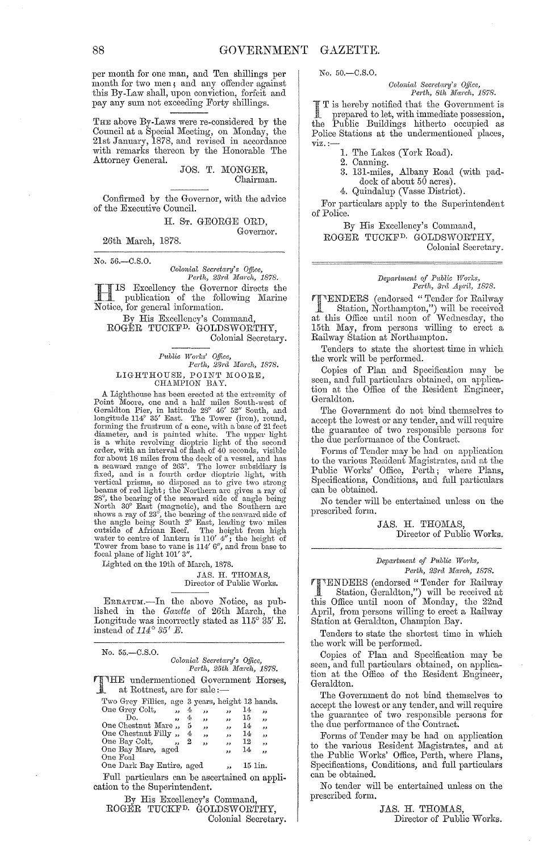per month for one man, and Ten shillings per month for two men, and any offender against this By-Law shall, upon conviction, forfeit and pay any sum not exceeding Forty shillings.

THE above By-Laws were re-considered by the Council at a Special Meeting, on Monday, the 21st January, 1878, and revised in accordance with remarks thereon by the Honorable The Attorney General.

JOS. T. MONGER, Chairman.

Confirmed by the Governor, with the advice of the Executive Council.

> H. ST. GEORGE ORD, Governor.

26th March, 1878.

No. 56.-C.S.0.

*Colonial Secretary's Office,*<br>*Perth, 23rd March, 1878. Perth, 231'Cl Ma1'Ch, 1878.* 

**H IS Excellency the Governor directs the**<br>publication of the following Marine publication of the following Marine Notice, for general information.

By His Excellency's Command, ROGER TUCKFD. GOLDSWORTHY, Colonial Secretary.

*Public Works' Office,*<br>Perth, 23rd March, 1878. LIGHTHOUSE, POINT MOORE,<br>CHAMPION BAY.

A Lighthouse has been erected at the extremity of Point Moore, one and a half miles South-west of Geraldton Pier, in latitude  $28^{\circ}$  46' 52" South, and longitude 114° 35' East. The Tower (iron), round, forming the frust is a white revolving dioptric light of the second<br>order, with an interval of flash of 40 seconds, visible<br>for about 18 miles from the deck of a vessel, and has<br>a seaward range of 263°. The lower subsidiary is<br>fixed, and is vertical prisms, so disposed as to give two strong<br>beams of red light; the Northern arc gives a ray of<br>28°, the bearing of the seaward side of angle being<br>North 30° East (magnetic), and the Southern arc<br>shows a ray of 23°

Lighted on the 19th of March, 1878.

JAS. H. THOMAS, Director of Public Works.

ERRATUM.-In the above Notice, as published in the *Gazette* of 26th March, the Longitude was incorrectly stated as  $115^{\circ}$  35' E. instead of  $114^{\circ}$  35' E.

| $No. 55 - C.S.O.$                                                                                                                                                                                         |                                                     |             |                                                           | Colonial Secretary's Office.                                                                                  |                                               | Perth, 25th March, 1878.                     |
|-----------------------------------------------------------------------------------------------------------------------------------------------------------------------------------------------------------|-----------------------------------------------------|-------------|-----------------------------------------------------------|---------------------------------------------------------------------------------------------------------------|-----------------------------------------------|----------------------------------------------|
| THE undermentioned Government Horses,<br>at Rottnest, are for sale:—                                                                                                                                      |                                                     |             |                                                           |                                                                                                               |                                               |                                              |
| Two Grey Fillies, age 3 years, height 13 hands.<br>One Grey Colt.<br>Do.<br>One Chestnut Mare, 5<br>One Chestnut Filly, 4<br>One Bay Colt,<br>One Bay Mare, aged<br>One Foal<br>One Dark Bay Entire, aged | $\overline{\phantom{a}}$<br>$\sim$ 12 $-$<br>$55 -$ | 4<br>4<br>2 | ,,<br>, 1.<br>$\bullet$<br>$\overline{\phantom{a}}$<br>,, | دد<br>وو<br>$\overline{\phantom{a}}$<br>$\overline{\phantom{a}}$<br>$\cdots$<br>,,<br>$\overline{\mathbf{z}}$ | 14<br>15<br>14<br>14<br>12<br>14 <sub>1</sub> | دد<br>دد<br>ر و<br>وو<br>,,<br>وو<br>15 lin. |
| Full particulars can be ascertained on appli-<br>cation to the Superintendent.                                                                                                                            |                                                     |             |                                                           |                                                                                                               |                                               |                                              |
| By His Excellency's Command,                                                                                                                                                                              |                                                     |             |                                                           |                                                                                                               |                                               |                                              |

ROGER TUCKFD. GOLDSWORTHY, Colonial Secretary. No. 50.-C.S.0.

*Colonial Secretary's Office,*<br>Perth, 8th March, 1878.

T is hereby notified that the Government is prepared to let, with immediate possession, the Public Buildings hitherto occupied as Police Stations at the undermentioned places,  $\overline{\text{viz}}$ .:-

1. The Lakes (York Road).

2. Canning.

- 3. 131-miles, Albany Road (with paddock of about 50 acres).
- 4. Quindalup (Vasse District).

For particulars apply to the Superintendent of Police.

By His Excellency'S Command, ROGER TUCKFD. GOLDSWORTHY, Colonial Secretary.

#### *Depa?·tment of Pub7.ic Wm'ks, Perth, 3rd April, 1878.*

'I"ENDERS (endorsed "Tender for Railway Station, Northampton,") will be received at this Office until noon of Wednesday, the 15th May, from persons willing to erect a Railway Station at Northampton.

Tenders to state the shortest time in which the work will be performed.

Copies of Plan and Specification may be seen, and full particulars obtained, on application at the Office of the Resident Engineer, Geraldton.

The Government do not bind themselves to accept the lowest or any tender, and will require the guarantee of two responsible persons for the due performance of the Contract.

Forms of Tender may be had on application to the various Resident Magistrates, and at the Public Works' Office, Perth; where Plans, Specifications, Conditions, and full particulars can be obtained.

No tender will be entertained unless on the prescribed form.

> JAS. H. THOMAS, Director of Public Works.

#### *Depa?·tment of Public W01'ks, Perth,* 23rd *Ma1'ch, 1878.*

TENDERS (endorsed" Tender for Railway Station, Geraldton,") will be received at this Office until noon of Monday, the 22nd April, from persons willing to erect a Railway Station at Geraldton, Champion Bay.

Tenders to state the shortest time in which the work will be performed.

Copies of Plan and Specification may be seen, and full particulars obtained, on application at the Office of the Resident Engineer, Geraldton.

The Government do not bind themselves to accept the lowest or any tender, and will require the guarantee of two responsible persons for the due performance of the Contract.

Forms of Tender may be had on application to the various Resident Magistrates, and at the Public Works' Office, Perth, where Plans, Specifications, Conditions, and full particulars can be obtained.

No tender will be entertained unless on the prescribed form.

> JAS. H. THOMAS, Director of Public Works.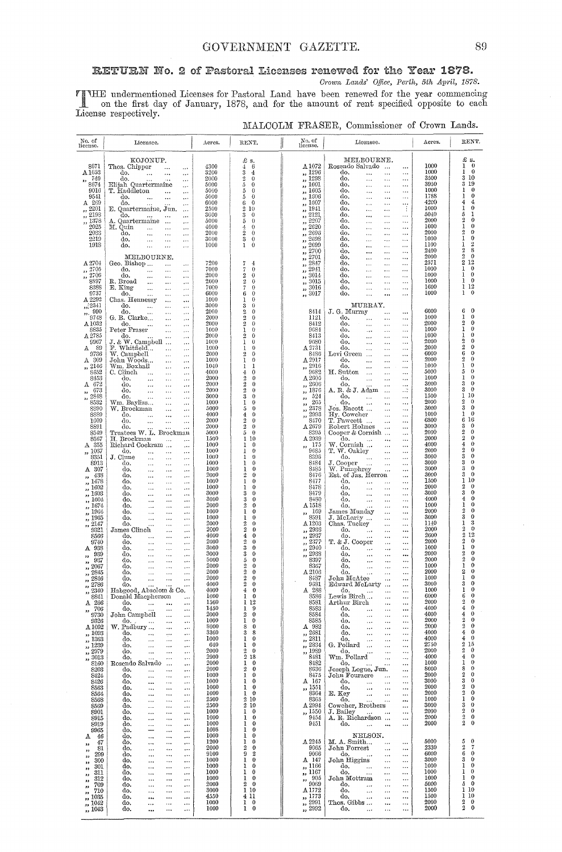# RETURN No. 2 of Pastoral Licenses renewed for the Year 1878. Crown Lands' Office, Perth, 5th April, 1878.

THE undermentioned Licenses for Pastoral Land have been renewed for the year commencing<br>on the first day of January, 1878, and for the amount of rent specified opposite to each<br>License respectively.

| No. of<br>license.                                                                                                                                                                                                           | Licensee.                                                                                                                                                                                                                                                                                                                                                                                                                                                                                                                                                                                                                                                                              | Acres.                                                                                                                       | RENT.                                                                                                                                                                                                                                                                                                                                              | No. of<br>license.                                                                                                                                                                                                                                                                                                                                                 | Licensee.                                                                                                                                                                                                                                                                                                                                                                                                                                                                                                                                                                                                                                                                                                            | Acres.                                                                                                                                       | RENT.                                                                                                                                                                                                                                                              |
|------------------------------------------------------------------------------------------------------------------------------------------------------------------------------------------------------------------------------|----------------------------------------------------------------------------------------------------------------------------------------------------------------------------------------------------------------------------------------------------------------------------------------------------------------------------------------------------------------------------------------------------------------------------------------------------------------------------------------------------------------------------------------------------------------------------------------------------------------------------------------------------------------------------------------|------------------------------------------------------------------------------------------------------------------------------|----------------------------------------------------------------------------------------------------------------------------------------------------------------------------------------------------------------------------------------------------------------------------------------------------------------------------------------------------|--------------------------------------------------------------------------------------------------------------------------------------------------------------------------------------------------------------------------------------------------------------------------------------------------------------------------------------------------------------------|----------------------------------------------------------------------------------------------------------------------------------------------------------------------------------------------------------------------------------------------------------------------------------------------------------------------------------------------------------------------------------------------------------------------------------------------------------------------------------------------------------------------------------------------------------------------------------------------------------------------------------------------------------------------------------------------------------------------|----------------------------------------------------------------------------------------------------------------------------------------------|--------------------------------------------------------------------------------------------------------------------------------------------------------------------------------------------------------------------------------------------------------------------|
| 8671<br>A1653<br>-749<br>,,<br>8674<br>9016<br>9541<br>A 269<br>2201<br>$, \overline{2193}$<br>,, 1378<br>2025<br>2033<br>2219<br>1918<br>A 2704<br>2705<br>,,                                                               | KOJONUP.<br>Thos. Chipper<br>$\ddotsc$<br>$\cdots$<br>do.<br>$\ddotsc$<br>$\cdots$<br>$\cdots$<br>do.<br>$\cdots$<br>$\cdots$<br>Elijah Quartermaine<br>$\ddotsc$<br>T. Haddleton<br>$\ddotsc$<br>$\cdots$<br>do.<br><br>$\cdots$<br>do.<br>$\ddotsc$<br>$\cdots$<br>E. Quartermaine, Jun.<br>$\cdots$<br>do.<br>$\ddotsc$<br>$\cdots$<br>$\cdots$<br>A. Quartermaine<br>$\ddotsc$<br>$\cdots$<br>M. Quin<br>$\cdots$<br>$\cdots$<br>$\cdots$<br>do.<br>$\ddotsc$<br>$\ddotsc$<br>$\ldots$<br>do.<br>$\ddotsc$<br>$\ddotsc$<br>$\cdots$<br>do.<br>$\ddotsc$<br>$\cdots$<br>$\ldots$<br>MELBOURNE.<br>Geo. Bishop<br>$\ddotsc$<br>$\cdots$<br>do.<br>$\ddotsc$<br>$\ddotsc$<br>$\cdots$ | 4300<br>3200<br>2000<br>5000<br>5000<br>5000<br>6000<br>2500<br>3000<br>5000<br>4000<br>2000<br>3000<br>1000<br>7200<br>7000 | £ s.<br>$\mathbf 4$<br>6<br>3<br>$\overline{4}$<br>$\overline{2}$<br>$\theta$<br>5<br>$\theta$<br>$\theta$<br>õ<br>$\theta$<br>5<br>$\theta$<br>6<br>$\overline{2}$<br>10<br>3<br>$\theta$<br>$\theta$<br>ő<br>4<br>$\theta$<br>$\overline{2}$<br>$\theta$<br>3<br>$\theta$<br>$\boldsymbol{0}$<br>1<br>7<br>$\overline{4}$<br>7<br>$\overline{0}$ | $\Delta 1072$<br>,, 1296<br>1298<br>$\overline{\mathbf{z}}$<br>,, 1601<br>,, 1605<br>,, 1606<br>1607<br>$\overline{\phantom{a}}$<br>1941<br>$\overline{\mathbf{z}}$<br>2121<br>2207<br>2620<br>$\overline{\phantom{a}}$<br>2696<br>$\overline{\phantom{a}}$<br>2698<br>2699<br>2700<br>$\overline{\mathbf{z}}$<br>2701<br>$\overline{\phantom{a}}$<br>2847<br>2941 | MELBOURNE.<br>Rosendo Salvado<br><br>do.<br>$\ddots$<br>$\cdots$<br><br>do.<br>$\cdots$<br>$\ddotsc$<br><br>do.<br>$\ldots$<br>$\ddotsc$<br><br>do.<br>$\ldots$<br><br>$\ldots$<br>do.<br><br><br>$\cdots$<br>do.<br>$\ddotsc$<br>$\cdots$<br><br>do.<br>÷<br>$\cdots$<br>$\cdots$<br>do.<br><br>$\ldots$<br>$\ddotsc$<br>do.<br>$\ldots$<br>$\ldots$<br>$\ddotsc$<br>do.<br>$\ldots$<br><br>$\ddotsc$<br>do.<br>$\ddots$<br>$\ddotsc$<br>$\cdots$<br>do,<br>$\ddotsc$<br>$\ddotsc$<br>$\ddotsc$<br>do.<br>$\cdots$<br>$\cdots$<br>$\cdots$<br>do.<br>$\cdots$<br>$\ddotsc$<br>$\ddotsc$<br>do.<br>$\cdots$<br>$\ddotsc$<br>$\cdots$<br>do,<br>$\ddotsc$<br>$\ddots$<br>$\cdots$<br>do.<br>$\cdots$<br><br>$\ddotsc$ | 1000<br>1000<br>3500<br>3950<br>1000<br>1788<br>4200<br>1000<br>5040<br>2000<br>1000<br>2000<br>1000<br>1100<br>2400<br>2000<br>2571<br>1000 | £ s.<br>1<br>$\bf{0}$<br>$\bf{0}$<br>1<br>3 10<br>3 19<br>$\bf{0}$<br>1<br>$\bf{0}$<br>1<br>4<br>4<br>$\bf{0}$<br>ı<br>ı<br>5<br>2<br>$\theta$<br>0<br>1<br>$\overline{2}$<br>0<br>0<br>1<br>$\,2$<br>1<br>8<br>2<br>$\overline{2}$<br>$\bf{0}$<br>2 1 2<br>1<br>0 |
| 2706<br>,,<br><b>8897</b><br>8388<br>9737<br>A 2292                                                                                                                                                                          | do,<br>$\cdots$<br>$\cdots$<br>$\cdots$<br>R. Broad<br>$\ddotsc$<br>$\cdots$<br>$\cdots$<br>E. King<br>$\ddotsc$<br>$\cdots$<br>$\cdots$<br>do.<br>$\cdots$<br>$\cdots$<br>$\cdots$<br>Chas. Hennessy<br>$\cdots$<br>$\ddotsc$                                                                                                                                                                                                                                                                                                                                                                                                                                                         | 2000<br>2000<br>7000<br>6000<br>1000                                                                                         | $\boldsymbol{2}$<br>$\theta$<br>$\overline{2}$<br>$\bf{0}$<br>7<br>0<br>6<br>0<br>0<br>1                                                                                                                                                                                                                                                           | 3014<br>$\overline{\mathbf{z}}$<br>3015<br>, 3016<br>,, 3017                                                                                                                                                                                                                                                                                                       | do.<br>$\cdots$<br>$\ddotsc$<br>$\cdots$<br>do,<br>$\cdots$<br>.<br>$\ldots$<br>do.<br><br>$\cdots$<br>$\cdots$<br>do.<br>$\ddotsc$<br><br>$\cdots$                                                                                                                                                                                                                                                                                                                                                                                                                                                                                                                                                                  | 1000<br>1000<br>1600<br>1000                                                                                                                 | $\bf{0}$<br>1<br>$\bf{0}$<br>ı<br>1 12<br>1<br>0                                                                                                                                                                                                                   |
| , 2341<br>$\frac{1}{22}$ , 990<br>9743<br>$\Lambda\,1032$<br>8835<br>A2785<br>9967<br>$A$ 89<br>9736<br>$A$ 309<br>,, 2146<br>8452<br>8453<br>A 672<br>673<br>33                                                             | do.<br>$\ddotsc$<br>$\ldots$<br>$\cdots$<br>do.<br>$\ddotsc$<br>.<br>$\cdots$<br>G. B. Clarke<br>$\cdots$<br>$\ddotsc$<br>do.<br>$\ddotsc$<br>$\ldots$<br>$\cdots$<br>Peter Fraser<br>$\ldots$<br>$\cdots$<br>do.<br>$\ddotsc$<br>$\cdots$<br>J. & W. Campbell<br>$\ddotsc$<br>F. Whitfield<br>$\cdots$<br>$\ddotsc$<br>W. Campbell<br>$\cdots$<br>$\cdots$<br>John Woods<br>$\ddotsc$<br>$\cdots$<br>Wm. Boxhall<br>$\ddotsc$<br>$\ldots$<br>C. Clinch<br>$\cdots$<br>$\cdots$<br>do.<br>$\cdots$<br>$\ddotsc$<br>$\ddotsc$<br>do.<br>$\ddotsc$<br>$\ddotsc$<br>$\cdots$<br>do.<br>$\cdots$<br>$\cdots$<br>$\ddotsc$                                                                  | 3000<br>2000<br>2000<br>2000<br>1000<br>2000<br>1000<br>1000<br>2000<br>1000<br>1040<br>4000<br>2000<br>2000<br>2000         | 3<br>$\theta$<br>2<br>0<br>$\overline{2}$<br>$\theta$<br>$\overline{2}$<br>$\theta$<br>I<br>0<br>$\overline{2}$<br>0<br>ı<br>0<br>$\theta$<br>1<br>$\overline{2}$<br>$\theta$<br>1<br>$\theta$<br>ı<br>1<br>4<br>0<br>$\overline{2}$<br>0<br>$\overline{2}$<br>0<br>$\overline{2}$<br>0                                                            | 8414<br>1121<br>8412<br>9684<br>8413<br>9680<br>A2731<br>8486<br>$\triangle$ 2917<br>2916<br>,,<br>9682<br>$A_{2605}$<br>2606<br>,,<br>1876<br>,,                                                                                                                                                                                                                  | MURRAY.<br>J. G. Murray<br>$\cdots$<br><br>do.<br>$\cdots$<br>$\cdots$<br><br>do.<br>$\ddotsc$<br><br>$\ddotsc$<br>do.<br>$\ddotsc$<br><br>$\cdots$<br>do.<br><br>$\ddotsc$<br>$\ddotsc$<br>do.<br>$\ldots$<br>$\ldots$<br>$\cdots$<br>do.<br>$\ddotsc$<br>$\cdots$<br>$\cdots$<br>Levi Green<br>$\ddotsc$<br>$\cdots$<br>$\ddotsc$<br>đ٥.<br>$\ddotsc$<br>$\dddot{\phantom{0}}$<br>$\cdots$<br>do.<br>$\ddotsc$<br>$\ddotsc$<br>$\ddotsc$<br>H. Sutton<br>$\cdots$<br><br>$\ddotsc$<br>do.<br>$\cdots$<br>$\ddotsc$<br>$\cdots$<br>do.<br>$\ddotsc$<br>$\cdots$<br>A, R. & J. Adam<br>$\cdot$<br>$\ddotsc$                                                                                                          | 6000<br>1000<br>2000<br>1000<br>1000<br>2000<br>2000<br>6000<br>2000<br>1000<br>5000<br>1000<br>3000<br>3000                                 | $\mathbf{0}$<br>6<br>1<br>0<br>0<br>2<br>1<br>0<br>0<br>1<br>0<br>2<br>$\overline{2}$<br>$\bf{0}$<br>0<br>6<br>$\overline{2}$<br>0<br>0<br>1<br>0<br>5<br>0<br>ı<br>0<br>3<br>0<br>3                                                                               |
| $\frac{7}{12}$ , 2848<br>8532<br>8890<br>8889<br>1609<br>8891<br>8549<br>8567<br>A 355<br>,, 1037<br><b>8351</b><br>8913<br>A 307                                                                                            | do.<br>$\cdots$<br>$\cdots$<br>$\cdots$<br>Wm. Bayliss<br>$\ddot{\phantom{a}}$<br>$\cdots$<br>W. Brockman<br>$\ddotsc$<br>$\ddotsc$<br>do.<br>$\ddotsc$<br><br>$\ddotsc$<br>do.<br><br>$\cdots$<br>$\ddotsc$<br>do.<br>$\cdots$<br>$\cdots$<br>Trustees W. L. Brockman<br>H. Brockman<br>$\cdots$<br>$\ddotsc$<br>Richard Cockram<br>$\cdots$<br>do.<br>$\ddotsc$<br>$\cdots$<br>$\ddotsc$<br>J. Clune<br>$\cdots$<br>$\ddotsc$<br>$\ddotsc$<br>do.<br>$\ddotsc$<br>$\ddotsc$<br>$\cdots$<br>do.<br>$\ddotsc$<br>$\cdots$<br>$\cdots$                                                                                                                                                  | 3000<br>1000<br>5000<br>4000<br>2000<br>2000<br>5000<br>1500<br>1000<br>1000<br>1000<br>1000<br>1000                         | 3<br>$\bf{0}$<br>1<br>$\theta$<br>5<br>$\bf{0}$<br>4<br>0<br>$\overline{2}$<br>$\theta$<br>$\overline{2}$<br>$\theta$<br>$\overline{5}$<br>$\bf{0}$<br>1<br>10<br>0<br>1<br>$\theta$<br>ı<br>1<br>0<br>ı<br>0<br>1<br>0                                                                                                                            | 524<br>,,<br>265<br>,,<br>2378<br>,,<br>2993<br>,,<br>8470<br>A 2679<br>8395<br>A 2939<br>175<br>,,<br>9685<br>8396<br>8484<br>8485                                                                                                                                                                                                                                | do.<br>$\ddotsc$<br><br>$\ddotsc$<br>do.<br>$\ldots$<br>$\ddotsc$<br>$\ddotsc$<br>Jos. Eacott<br>$\ddotsc$<br>$\cdots$<br>Hy. Cowcher<br>$\cdots$<br><br>T. Fawcett<br>$\cdots$<br>$\ddotsc$<br>Robert Holmes<br>$\cdots$<br>$\ddotsc$<br>Cooper & Cornish<br>$\ddotsc$<br>do.<br>$\ddotsc$<br>$\ddotsc$<br>$\ddotsc$<br>W. Cornish<br>$\ddotsc$<br>$\ddotsc$<br>T. W. Oakley<br>$\ddotsc$<br>$\cdots$<br>do.<br>$\cdots$<br>$\ddotsc$<br>J. Cooper<br>$\cdots$<br>$\cdots$<br>$\ddotsc$<br>W. Pumphrey<br>$\ddotsc$<br>$\cdots$                                                                                                                                                                                     | 1500<br>2000<br>3000<br>1000<br>6800<br>3000<br>2000<br>2000<br>4000<br>2000<br>3000<br>3000<br>3000                                         | 10<br>1<br>2<br>0<br>$\bf{0}$<br>3<br>0<br>1<br>16<br>6<br>3<br>0<br>$\overline{2}$<br>$\bf{0}$<br>$\overline{2}$<br>$\theta$<br>$\theta$<br>4<br>0<br>2<br>0<br>3<br>3<br>0<br>$\bf{0}$<br>З<br>$\bf{0}$<br>3                                                     |
| 438<br>,,<br>$\frac{7}{1478}$<br>,, 1602<br>,, 1603<br>$\frac{1}{2}$ , 1604<br>,, 1674<br>,, 1964<br>,, 1965<br>2147<br>$\bullet$<br>9321<br>8566<br>9740<br>A 938                                                           | do.<br><br>$\cdots$<br>$\cdots$<br>do.<br>$\ldots$<br>$\ddotsc$<br>$\cdots$<br>do.<br>$\ldots$<br>$\cdots$<br>$\cdots$<br>do.<br>$\cdots$<br><br>$\cdots$<br>do.<br>$\sim$<br>$\ldots$<br>$\cdots$<br>do.<br>$\cdots$<br><br>$\cdots$<br>do.<br>$\ddotsc$<br><br>$\cdots$<br>do.<br>$\ddotsc$<br>$\ldots$<br>$\cdots$<br>do.<br>$\ldots$<br>$\cdots$<br>$\cdots$<br>James Clinch<br>$\ddotsc$<br>$\cdots$<br>do.<br>$\ddotsc$<br><br>$\ldots$<br>đо.<br>$\ddotsc$<br>$\ddotsc$<br>$\cdots$<br>do.<br>$\ddotsc$<br>$\ldots$<br>$\cdots$                                                                                                                                                 | 2000<br>1000<br>1000<br>3000<br>3000<br>2000<br>1000<br>1000<br>2000<br>2000<br>4000<br>2000<br>3000                         | $\overline{2}$<br>0<br>ı<br>$\bf{0}$<br>ı<br>0<br>3<br>0<br>3<br>0<br>$\overline{2}$<br>0<br>1<br>0<br>ı<br>0<br>2<br>0<br>$\overline{2}$<br>$\Omega$<br>4<br>$\theta$<br>$\overline{2}$<br>0<br>$\overline{\mathbf{3}}$<br>$\bf{0}$                                                                                                               | 8476<br>8477<br>8478<br>8479<br>8480<br>A 1518<br>169<br>,,<br>8591<br>A 1203<br>2936<br>$\overline{\mathbf{z}}$<br>2937<br>,,<br>2377<br>$\overline{\mathbf{z}}$<br>2940<br>,,                                                                                                                                                                                    | Est. of Jas. Herron<br>$\cdots$<br>do.<br>$\ddotsc$<br>$\cdots$<br>$\cdots$<br>do.<br>$\cdots$<br>$\cdots$<br>$\cdots$<br>do.<br>$\cdots$<br>$\ddotsc$<br>$\cdots$<br>do.<br>$\ddotsc$<br><br>$\cdots$<br>do.<br>$\cdots$<br><br>$\ddotsc$<br>James Munday<br><br>$\cdots$<br>J. McLarty<br>$\cdots$<br>$\ddotsc$<br>Chas. Tuckey<br>$\ldots$<br>$\ddotsc$<br>do.<br>$\ddotsc$<br>$\ldots$<br>$\ddotsc$<br>do.<br>$\ddotsc$<br><br>$\cdots$<br>T. & J. Cooper<br><br>$\cdots$<br>do.<br>$\ddotsc$<br><br>$\cdots$                                                                                                                                                                                                    | 3000<br>1500<br>2000<br>3000<br>4000<br>1000<br>2000<br>3000<br>1140<br>2000<br>2600<br>2000<br>1000                                         | 10<br>$\mathbf{1}$<br>2<br>$\theta$<br>3<br>0<br>$\bf{0}$<br>$\theta$<br>1<br>$\boldsymbol{2}$<br>$\theta$<br>3<br>0<br>3<br>ı<br>$\theta$<br>$\overline{2}$<br>$\overline{2}$<br>12<br>$\overline{2}$<br>$\theta$<br>ı<br>0                                       |
| 939<br>,,<br>937<br>,,<br>2067<br>,,<br>2845<br>$\overline{\mathbf{z}}$<br>2846<br>33<br>2786<br>2340<br>,,<br>8841<br>A 266<br>$, 706$<br>9730<br>9326                                                                      | do.<br>$\ddotsc$<br>$\ddotsc$<br>$\ddotsc$<br>do.<br>$\cdots$<br>$\ddotsc$<br><br>do.<br>$\ldots$<br>$\ddotsc$<br>$\cdots$<br>do.<br>$\ldots$<br>$\ddotsc$<br>$\cdots$<br>do.<br>$\sim$ $\sim$<br>$\ddotsc$<br>$\ddotsc$<br>do.<br>Habgood, Absolom & Co.<br>Donald Macpherson<br>do.<br>$\sim 100$<br><br>do.<br>$\ldots$<br><br>John Campbell<br>$\ldots$<br>$\cdots$<br>$do. \t\t$<br>$\ldots$<br>$\ddots$                                                                                                                                                                                                                                                                          | 3000<br>5000<br>2000<br>2000<br>2000<br>4000<br>4000<br>1000<br>1560<br>1450<br>2000<br>1000                                 | 3<br>$^{0}$<br>5<br>0<br>$\overline{2}$<br>0<br>$\overline{2}$<br>$\overline{2}$<br>$\overline{2}$<br>0<br>4<br>1<br>0<br>1<br>12<br>1<br>9<br>2<br>0<br>ı<br>$\bf{0}$                                                                                                                                                                             | 2938<br>8397<br>8367<br>A 2103<br>8487<br>9681<br>A 288<br>8586<br>8581<br>8583<br>8584<br>8585                                                                                                                                                                                                                                                                    | do.<br>$\ddotsc$<br>.<br><br>do.<br>$\ddotsc$<br><br>$\ddotsc$<br>do.<br>$\ldots$<br><br>$\ddotsc$<br>do.<br>$\ddotsc$<br>$\ddotsc$<br><br>John McAtee<br>$\cdots$<br><br>Edward McLarty<br><br>do.<br>$\ddotsc$<br>Lewis Birch<br><br><br>Arthur Birch<br>٠.,<br><br>do.<br><br><br>do.<br>$\ddotsc$<br>.,,<br><br>do.<br>$\ldots$<br>٠.,<br>$\ldots$                                                                                                                                                                                                                                                                                                                                                               | 2000<br>2000<br>1000<br>2000<br>1000<br>3000<br>1000<br>6000<br>2000<br>4000<br>4000<br>2000                                                 | 0<br>2<br>$\mathbf{2}$<br>$\theta$<br>0<br>1<br>$\theta$<br>2<br>$\bf{0}$<br>1<br>0<br>з<br>0<br>1<br>6<br>$\bf{0}$<br>$\boldsymbol{2}$<br>$\bf{0}$<br>4<br>$\boldsymbol{0}$<br>$\,0$<br>4<br>$\boldsymbol{2}$<br>$\bf{0}$<br>$\boldsymbol{2}$<br>$\bf{0}$         |
| A 1092<br>,, 1093<br>$\frac{7}{1363}$<br>$\frac{7}{2239}$<br>$\frac{7}{2979}$<br>$\widetilde{\phantom{a}}$ , $3013$<br>8160<br>8203<br>8424<br>8426<br>8563<br>8564<br>8568<br>8569<br>8901                                  | W. Padbury<br>$\ddotsc$<br>$\ddotsc$<br>do.<br>$\ldots$<br>$\ldots$<br>$\cdots$<br>do.<br><br>$\ldots$<br>$\cdots$<br>do.<br>$\ddotsc$<br><br>$\ldots$<br>do.<br>$\ldots$<br>$\ddotsc$<br>$\ddots$<br>do.<br>.<br>$\ddotsc$<br>$\ddotsc$<br>Rosendo Salvado<br>$\ldots$<br>$\ddotsc$<br>do.<br>$\ldots$<br>$\ddotsc$<br>$\cdots$<br>do.<br>$\ldots$<br><br>$\ldots$<br>do,<br><br>$\ldots$<br>$\ldots$<br>do.<br>$\ldots$<br>$\ldots$<br>$\cdots$<br>do.<br>$\cdots$<br>$\ddotsc$<br>$\ddotsc$<br>do.<br>$\cdots$<br>$\ddotsc$<br>$\cdots$<br>do.<br>$\cdots$<br><br><br>do.<br><br>$\ldots$<br>                                                                                       | 8000<br>3360<br>1000<br>640<br>2000<br>2900<br>2000<br>2000<br>1000<br>1000<br>1000<br>1000<br>2500<br>2500<br>1000          | 8<br>$\theta$<br>3<br>8<br>1<br>0<br>ı<br>0<br>$\overline{2}$<br>$\bf{0}$<br>$\overline{2}$<br>18<br>1<br>$\bf{0}$<br>$\boldsymbol{2}$<br>$\bf{0}$<br>1<br>$\mathbf{0}$<br>ı<br>$\bf{0}$<br>1<br>$\theta$<br>1<br>$\mathbf{0}$<br>$\overline{2}$<br>10<br>$\overline{2}$<br>10<br>1<br>$\mathbf{0}$                                                | A 982<br>,, 2681<br>2811<br>,,<br>, 2334<br>,, 1989<br>8481<br>8482<br>8636<br>8475<br>A 167<br>,, 1551<br>8364<br>8365<br>A 2994<br>,, 1550                                                                                                                                                                                                                       | do.<br>$\cdots$<br><br><br>do.<br>$\ddotsc$<br>$\ddotsc$<br>$\ddotsc$<br>do.<br><br><br>G. Pollard<br>$\ddotsc$<br><br><br>do.<br>$\ddotsc$<br><br>Wm. Pollard<br><br><br>do.<br><br>Joseph Logue, Jun.<br><br>John Fouracre<br><br>do.<br>$\ddotsc$<br><br><br>do.<br>$\ldots$<br>$\ldots$<br><br>E. Key<br>$\ddotsc$<br><br>$\cdots$<br>do.<br><br>Cowcher, Brothers<br><br>J. Bailey<br>$\sim 100$<br>                                                                                                                                                                                                                                                                                                            | 2000<br>4000<br>4000<br>2750<br>2000<br>4000<br>1000<br>8000<br>2000<br>3000<br>2000<br>2000<br>1000<br>3000<br>2000                         | $\bf{0}$<br>4<br>$\boldsymbol{0}$<br>4<br>2<br>15<br>2<br>0<br>0<br>4<br>$\boldsymbol{0}$<br>1<br>$\theta$<br>8<br>$\boldsymbol{0}$<br>2<br>3<br>0<br>2<br>0<br>$\overline{2}$<br>0<br>ı<br>0<br>0<br>3<br>$\overline{2}$<br>0                                     |
| 8915<br>8919<br>9965<br>-46<br>А.<br>47<br>,,<br>81<br>,,<br>299<br>$\bullet$<br>300<br>,,<br>301<br>,,<br>311<br>$^{\prime}$<br>312<br>$\overline{\mathbf{z}}$<br>709<br>,,<br>710<br>33<br>1035<br>,,<br>, 1042<br>,, 1043 | do.<br>$\cdots$<br>$\cdots$<br><br>do.<br><br>$\cdots$<br><br>do.<br>---<br>$\cdots$<br>$\ddotsc$<br>do.<br><br><br>$\cdots$<br>do.<br>$\ddotsc$<br><br>$\ddotsc$<br>do.<br><br><br>$\ddotsc$<br>do,<br>$\ldots$<br>$\cdots$<br>$\ddotsc$<br>do.<br>$\ldots$<br>$\ddotsc$<br>$\ddotsc$<br>do.<br>$\cdots$<br>$\ddotsc$<br><br>do.<br>$\ddotsc$<br><br>$\cdots$<br>do.<br><br>$\cdots$<br>$\cdots$<br>do.<br><br>$\cdots$<br>$\ldots$<br>do.<br>$\ddotsc$<br>$\ldots$<br>$\cdots$<br>do,<br>$\ldots$<br><br>$\cdots$<br>do.<br>$\cdots$<br>$\cdots$<br>$\ddotsc$<br>do.<br>$\cdots$<br><br>                                                                                             | 1000<br>1000<br>1608<br>1000<br>1200<br>2000<br>9100<br>1000<br>1000<br>1000<br>1000<br>2000<br>3000<br>4550<br>1000<br>1000 | ı<br>$\mathbf 0$<br>1<br>$\mathbf 0$<br>1<br>0<br>1<br>$\bf{0}$<br>1<br>$\bf{0}$<br>$\boldsymbol{2}$<br>$\bf{0}$<br>9<br>$\boldsymbol{2}$<br>1<br>$\bf{0}$<br>ı<br>$\bf{0}$<br>1<br>$\theta$<br>1<br>$\bf{0}$<br>$\overline{2}$<br>$\overline{0}$<br>1 10<br>411<br>$1 \quad 0$<br>$1 \quad 0$                                                     | 9454<br>9451<br>A 2245<br>9065<br>9066<br>A 147<br>,, 1166<br>,, 1167<br>$\frac{1}{2}$ , 905<br>A 1772<br>,, 1773<br>$\frac{7}{12}$ 2991<br>,, 2992                                                                                                                                                                                                                | A. R. Richardson<br><br>do.<br>$\sim$ 100 $\mu$<br><br>$\cdots$<br>NELSON.<br>M. A. Smith<br>$\ddotsc$<br><br>John Forrest<br>$\cdots$<br>$\cdots$<br>do.<br>$\cdots$<br>$\ldots$<br>John Higgins<br>$\ldots$<br>$\ddotsc$<br>do.<br>$\cdots$<br>$\cdots$<br>$\cdots$<br>do.<br>$\ddotsc$<br>$\cdots$<br>$\ddotsc$<br>John Mottram<br>$\cdots$<br>$\ddotsc$<br>do.<br>$\ddotsc$<br>$\cdots$<br>$\ddotsc$<br>do.<br>$\ldots$<br>$\cdots$<br>$\ldots$<br>do.<br>$\cdots$<br>$\cdots$<br><br>Thos. Gibbs<br><br>$\ldots$<br>do.<br>$\ldots$<br>$\cdots$<br>$\cdots$                                                                                                                                                     | 2000<br>2000<br>5000<br>2330<br>6000<br>3000<br>1000<br>1000<br>1000<br>5000<br>1500<br>1500<br>2000<br>2000                                 | 2<br>0<br>2<br>0<br>5<br>$\bf{0}$<br>$\overline{2}$<br>7<br>6<br>$\bf{0}$<br>3<br>0<br>1<br>0<br>ı<br>0<br>$\bf{0}$<br>1<br>0<br>5<br>1<br>10<br>1 10<br>2<br>0<br>$\overline{2}$<br>$\mathbf{0}$                                                                  |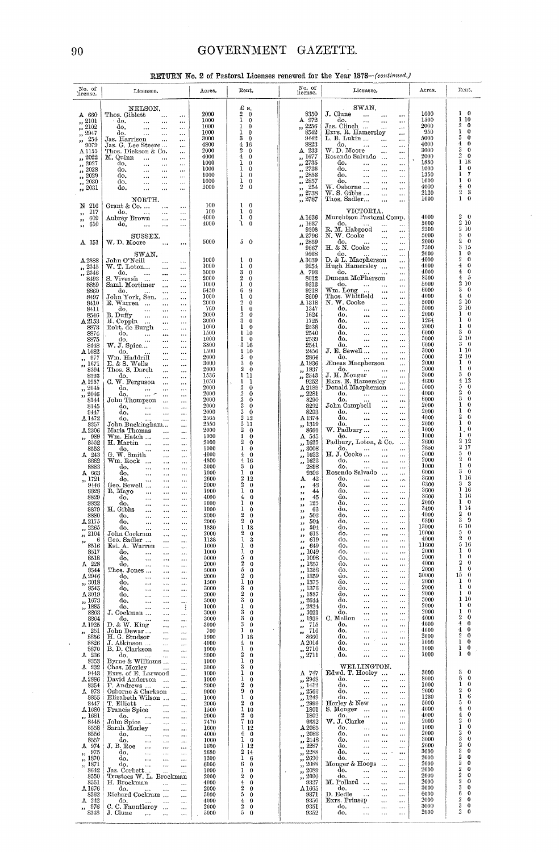# GOVERNMENT GAZETTE.

 $\ddot{\phantom{a}}$ 

RETURN No. 2 of Pastoral Licenses renewed for the Year 1878-(continued.)

| No. of<br>license.                                  | Licensee.                                                                                          | Acres.       | Rent.                                                        | No. of<br>license.                                    | Licensee.                                                                                                                                                                                      | Acres.        | Rent.                                                        |
|-----------------------------------------------------|----------------------------------------------------------------------------------------------------|--------------|--------------------------------------------------------------|-------------------------------------------------------|------------------------------------------------------------------------------------------------------------------------------------------------------------------------------------------------|---------------|--------------------------------------------------------------|
|                                                     | NELSON.                                                                                            |              | £ s.                                                         |                                                       | SWAN.                                                                                                                                                                                          |               |                                                              |
| $A$ 660<br>,, 2101                                  | Thos. Giblett<br>$\sim$ $\sim$<br>do.<br>$\sim$ 100 $\mu$<br>$\cdots$<br>$\cdots$                  | 2000<br>1000 | $\overline{2}$<br>$\theta$<br>1<br>0                         | 8350<br>A 972                                         | J. Clune $\cdots$<br>$\ddotsc$<br>$\ddotsc$                                                                                                                                                    | 1000<br>1500  | $1 \quad 0$<br>1<br>10                                       |
| $\frac{7}{2102}$<br>$\frac{7}{10}$ $\frac{2947}{7}$ | do.<br>$\sim$<br>$\sim$ 100 $\mu$ 100 $\mu$<br>$\ddotsc$                                           | 1000<br>1000 | 1<br>$\bf{0}$<br>ı.<br>0                                     | ,, 2256<br>8542                                       | $\frac{\mathrm{do.}}{\mathrm{Jas.~Clinch}}$<br><br>Exrs. R. Hamersley                                                                                                                          | 2000<br>950   | $\overline{2}$<br>$\theta$<br>1<br>$\theta$                  |
| $\frac{7}{254}$                                     | do.<br>$\ldots$<br>$\sim$ 1000 $\mu$<br>$\cdots$<br>Jas. Harrison<br>$\sim$<br>$\cdots$            | 3000         | 3<br>$\mathbf{0}$                                            | 9442                                                  | <br>L. B. Lukin<br>$\cdots$                                                                                                                                                                    | 5000          | 5<br>$\theta$                                                |
| 9079<br>A 1155                                      | Jas. G. Lee Steere<br>$\cdots$<br>Thos. Dickson & Co.<br>$\ldots$                                  | 4800<br>2000 | 4 16<br>$\boldsymbol{2}$<br>$\bf{0}$                         | 8823<br>A 233                                         | $\overset{\text{do.}}{\text{W. D. Moore}}$ .<br>$\sim$ $\sim$<br>$\cdots$<br>$\ddotsc$<br>$\ddotsc$<br>                                                                                        | 4000<br>3000  | $\overline{4}$<br>$\bf{0}$<br>3<br>$\theta$                  |
| ,, 2022<br>$\frac{7}{2027}$                         | M. Quinn<br>$\cdots$<br>$\cdots$<br>$\ddotsc$<br>do.                                               | 4000<br>1000 | 4<br>$\bf{0}$<br>1<br>$\bf{0}$                               | ,, 1677                                               | Rosendo Salvado<br>$\cdots$<br>do.<br>$\ldots$<br>                                                                                                                                             | 2000<br>1880  | 2<br>$\theta$<br>1<br>18                                     |
| $\frac{1}{2028}$                                    | $\sim 100$<br>$\cdots$<br>$\ldots$<br>do.<br>$\cdots$<br>$\cdots$                                  | 1000<br>1000 | 1<br>$\mathbf{0}$<br>1                                       | $\frac{2735}{2736}$<br>,, 2856                        | $\cdots$<br>$\ddotsc$                                                                                                                                                                          | 1000<br>1350  | 1<br>$\theta$<br>7<br>ı                                      |
| $\frac{2029}{2029}$<br>$\frac{1}{2030}$             | $d\mathbf{o}$ ,<br>$\ldots$<br>$\ddotsc$<br>$d\mathbf{o}, \qquad \ldots$<br>$\cdots$<br>$\ddotsc$  | 1000         | $\theta$<br>1<br>$\bf{0}$                                    | 2857<br>$\mathbf{z}$                                  | $\begin{array}{cc}\n a & \cdots \\  a & \cdots \\  a & \cdots \\  a & \cdots\n\end{array}$<br>$\ldots$<br>$\ddotsc$<br>$\cdots$<br>$\ddotsc$                                                   | 1000          | 1<br>0                                                       |
| $\frac{7}{2031}$                                    | $d\mathbf{0}$ ,<br>$\ddotsc$<br>$\ddotsc$                                                          | 2000         | $\overline{2}$<br>$\theta$                                   | 254<br>$\pmb{\mathfrak{z}}$<br>$\frac{25}{10}$ , 2738 | W. Osborne<br>$\ddotsc$<br>$\ddotsc$<br>$W. S. Gibbs$<br>                                                                                                                                      | 4000<br>2120  | 4<br>0<br>$\overline{2}$<br>3                                |
| N 216                                               | NORTH.<br>Grant & Co. $\dots$<br>$\sim$<br>$\cdots$                                                | 100          | 1<br>$\theta$                                                | ,, 2787                                               | Thos. Sadler<br>$\ddotsc$                                                                                                                                                                      | 1000          | $\mathbf{1}$<br>0                                            |
| ,, 217<br>609                                       | do.<br><b>Contract</b><br>$\sim$ $\sim$<br>$\cdots$                                                | 100<br>4000  | 1<br>$\theta$<br>1<br>$\bf{0}$                               | A 1636                                                | VICTORIA.<br>Murchison Pastoral Comp.                                                                                                                                                          | 4000          | $\boldsymbol{2}$<br>$\theta$                                 |
| ,,<br>610<br>$\mathbf{5.5}$                         | Aubrey Brown<br>$\ldots$<br>do.<br><b>Contact Contact</b><br>$\cdots$                              | 4000         | 'n<br>$\theta$                                               | ,, 1637                                               | do.<br>$\cdots$<br>$\ldots$                                                                                                                                                                    | 5000          | 2 10<br>$\mathbf{2}$                                         |
|                                                     | SUSSEX.                                                                                            |              |                                                              | 9308<br>A 2796                                        | R. M. Habgood<br>N. W. Cooke<br>$\ddotsc$<br>$\cdots$<br>$\cdots$                                                                                                                              | 2500<br>5000  | 10<br>5<br>$\bf{0}$                                          |
| A 151                                               | W.D. Moore<br>$\cdots$<br>                                                                         | 5000         | 5<br>$\bf{0}$                                                | ,, 2859<br>9667                                       | H. & N. Cooke $\cdots$<br>$\ddotsc$<br>                                                                                                                                                        | 2000<br>7500  | $\boldsymbol{2}$<br>0<br>3<br>15                             |
| A 2888                                              | SWAN.<br>John O'Neill<br>$\cdots$                                                                  | 1000         | $\theta$<br>1                                                | 9668<br>A 3039                                        | $\stackrel{\text{do.}}{\text{D. & L. \:} } $<br><br>$\ddotsc$                                                                                                                                  | 2000<br>4000  | ı<br>$\theta$<br>$\overline{2}$<br>0                         |
| ,, 2345                                             | W. T. Loton<br>$\ldots$<br>$\cdots$                                                                | 1000<br>3000 | 1<br>$\bf{0}$<br>3<br>$\theta$                               | 9254<br>A 793                                         | Hugh Hamersley<br>$\ddotsc$<br>do.                                                                                                                                                             | 4000<br>4000  | 4<br>0<br>4<br>0                                             |
| $\frac{1}{2}$ , 2346<br>8493                        | do.<br>$\stackrel{\text{do.}}{\text{s}}$ . Viveash<br>$\cdots$<br>$\cdots$<br>$\cdots$<br>$\cdots$ | 2000         | 2<br>$\bf{0}$                                                | 8012                                                  | $\sim 100$ km s $^{-1}$<br><br>Duncan McPherson<br>                                                                                                                                            | 8500          | 4<br>5                                                       |
| 8859<br>8860                                        | Saml. Mortimer<br>$\cdots$<br>$\ddotsc$<br>do.<br>$\cdots$<br>$\cdots$                             | 1000<br>6450 | ı<br>$\bf{0}$<br>6<br>9                                      | 9313<br>9218                                          | $\begin{array}{c} \text{do.} \qquad  \\ \text{Wm. Long.} \qquad  \end{array}$<br>$\ddotsc$<br>$\ddotsc$<br>                                                                                    | 5000<br>6000  | 2 10<br>3<br>$\bf{0}$                                        |
| 8497<br>8410                                        | John York, Sen.<br>$\cdots$<br>$\cdots$<br>E. Warren<br>$\cdots$<br>$\cdots$                       | 1000<br>2000 | 1<br>$\theta$<br>$\overline{2}$<br>$\theta$                  | 8609<br>A 1318                                        | Thos. Whitfield<br>N. W. Cooke<br>$\ddotsc$<br>$\ddotsc$<br>$\ddotsc$<br>$\cdots$                                                                                                              | 4000<br>5000  | 4<br>0<br>2<br>10                                            |
| 8411<br>8546                                        | do.<br>$\sim$ 100 $\pm$<br>$\ldots$<br>$\ldots$<br>B. Duffy                                        | 760<br>2000  | $\mathbf{1}$<br>$\bf{0}$<br>$\overline{2}$<br>$\theta$       | 1347<br>1624                                          | do.<br>$\cdots$<br>$\ddotsc$                                                                                                                                                                   | 5000<br>2000  | $\overline{2}$<br>10<br>1<br>$\mathbf 0$                     |
| A 2153                                              | B. Duffy<br>$\ddotsc$<br>$\cdots$<br>$\ldots$<br>$\cdots$                                          | 3000         | 3<br>$\overline{0}$                                          | 1725                                                  | $\begin{array}{ccccc}\n & 0. & & \dots & \dots \\  & 0. & & \dots & \dots \\  & 0. & & \dots & \dots \\  & 0. & & \dots & \dots\n\end{array}$<br>$\ldots$<br>$\ddotsc$<br>$\ldots$<br>$\ldots$ | 1264          | 1<br>0<br>1<br>$\Omega$                                      |
| 8873<br>8874                                        | Robt. de Burgh<br>$\ldots$<br>$\cdots$<br>do.<br>$\sim 100$<br>$\cdots$<br>$\cdots$                | 1000<br>1500 | $\mathbf{1}$<br>$\theta$<br>110                              | 2538<br>2540                                          | $\ddotsc$<br>$\ldots$<br>$\cdots$<br>$\ldots$                                                                                                                                                  | 2000<br>6000  | 3<br>€                                                       |
| 8875<br>8448                                        | do.<br>$\sim$ $\sim$<br>$\cdots$<br>$\cdots$<br>W. J. Spice<br>$\cdots$<br>$\cdots$                | 1000<br>3800 | $1\quad 0$<br>3 16                                           | 2539<br>2541                                          | do.<br>$\ddotsc$<br>$\ddotsc$<br>do.<br>$\ldots$<br>$\cdots$<br>$\ddotsc$                                                                                                                      | 5000<br>6000  | $\overline{2}$<br>10<br>3<br>$\theta$                        |
| A 1682<br>, 977                                     | do,<br>$\cdots$<br><br>Wm. Haddrill                                                                | 1500<br>2000 | 110<br>$\overline{2}$<br>$\theta$                            | 2456<br>2864                                          | $J. E.$ Sewell $\ldots$<br>$\cdots$<br>$\cdots$<br>do.<br>$\sim 100$ km s $^{-1}$<br>$\cdots$                                                                                                  | 3000<br>5000  | 1<br>10<br>2 10                                              |
| ,, 1671                                             | $\ldots$<br>$\ddotsc$<br>E. & S. Wells<br>$\ldots$<br>$\cdots$                                     | 3000<br>2000 | 3<br>$\theta$<br>$\overline{2}$<br>$\theta$                  | A 1836<br>,, 1837                                     | Æneas Macpherson<br>$\cdots$<br>do.                                                                                                                                                            | 2000<br>2000  | 1<br>$\bf{0}$<br>1<br>0                                      |
| 8394<br>8393                                        | Thos. S. Darch<br>$\cdots$<br>$\cdots$<br>do.<br>$\sim$ 100 $\sim$<br>$\ldots$<br>$\cdots$         | 1536         | 111                                                          | , 2543                                                | $\sim 100$ km s $^{-1}$<br>$\ldots$<br>J. H. Monger<br>                                                                                                                                        | 3000          | 3<br>0<br>$\boldsymbol{4}$<br>12                             |
| A 1957<br>,, 2045                                   | C. W. Ferguson<br>$\ddotsc$<br>$\ldots$<br>do.<br>$\sim$ 1000 $\pm$<br>$\ldots$<br>$\cdots$        | 1050<br>2000 | 1<br>-1<br>$\lesssim$<br>$\boldsymbol{2}$<br>$\mathbf 0$     | 9252<br>A 2189                                        | Exrs. E. Hamersley<br>$\ddotsc$<br>Donald Macpherson<br>$\ddotsc$                                                                                                                              | 4600<br>5000  | 5<br>$\theta$                                                |
| $, \frac{2046}{500}$<br>8144                        | do.<br>$\ldots$<br><br>${\rm John}$ Thompson<br>$\cdots$<br>$\cdots$                               | 2000<br>2000 | $\mathbf{2}$<br>0<br>$\overline{2}$<br>0                     | ,, 2281<br>8290                                       | do. $\begin{array}{ccc}\n\vdots & \vdots & \vdots\n\end{array}$<br><br>                                                                                                                        | 4000<br>6000  | $\boldsymbol{2}$<br>0<br>3<br>$\theta$                       |
| 8145<br>9447                                        | do,<br>$\sim$ 100 $\sim$<br>$\ldots$<br>$\ddotsc$<br>do.<br>$\ldots$                               | 2000<br>2000 | $\overline{2}$<br>$\theta$<br>$\overline{2}$<br>$\mathbf{0}$ | 8292<br>8293                                          | John Campbell<br>$\cdots$<br><br>$d\sigma$ ,<br>$\cdots$<br>                                                                                                                                   | 2000<br>2000  | 1<br>0<br>1<br>0                                             |
| A 1472<br>8357                                      | $\cdots$<br>$\cdots$<br>do.<br><br>$\cdots$<br>John Buckingham                                     | 2565<br>2550 | $2\,$ 12<br>211                                              | A 1374<br>,, 1319                                     | $\overset{\text{do.}}{\text{do.}}$<br>$\ldots$<br><br>$\cdots$                                                                                                                                 | 4000<br>2000  | $\overline{2}$<br>0<br>1<br>0                                |
| A 2306                                              | $\cdots$<br>Maria Thomas<br>$\ddotsc$<br>$\cdots$                                                  | 2000         | $\overline{2}$<br>$\overline{0}$<br>1                        | 8666                                                  | $\ldots$<br>W. Padbury<br>$\sim$ 100 $\mu$<br>$\cdots$                                                                                                                                         | 1000<br>1000  | ı<br>0<br>$\bf{0}$<br>ı.                                     |
| ,, 989<br>8552                                      | Wm. Hatch<br>$\cdots$<br>$\cdots$<br>H. Martin<br>$\cdots$<br>$\cdots$                             | 1000<br>2000 | $\theta$<br>$\boldsymbol{2}$<br>$\mathbf 0$                  | A 545<br>,, 1625                                      | do.<br>$\sim$ . $\sim$<br>Padbury, Loton, & Co.<br>$\cdots$                                                                                                                                    | 2600          | $\overline{2}$<br>12<br>$\rm 2$<br>17                        |
| 8553<br>$A$ 243                                     | do.<br>$\ddotsc$<br>$\ldots$<br>$\cdots$<br>G. W. Smith<br>$\cdots$<br>$\cdots$                    | 1000<br>4000 | $1\quad 0$<br>$4\quad0$                                      | ,, 3008<br>,, 1622                                    | do.<br>المناور المتحدث<br>$\ddotsc$<br>H. J. Cooke<br>$\sim$<br>                                                                                                                               | 2850<br>5000  | 5<br>$\ddot{\mathbf{0}}$                                     |
| 8882<br>8883                                        | Wm. Rock<br>$\ddotsc$<br>$\ldots$<br>do.<br>$\ddotsc$<br>$\ldots$<br>$\ldots$                      | 4800<br>3000 | 416<br>3<br>$\mathbf{0}$                                     | ,, 1623<br>2898                                       | do.<br>$\sim 100$ km s $^{-1}$<br>$\ddotsc$<br><br>do.<br>$\ldots$<br>                                                                                                                         | 2000<br>1000  | $\overline{2}$<br>0<br>1<br>0                                |
| A 663<br>,, 1721                                    | do,<br>$\ddotsc$<br>$\ldots$<br>$\cdots$<br>do.<br>$\cdots$<br>$\cdots$<br>$\cdots$                | 1000<br>2600 | 1<br>$\overline{0}$<br>212                                   | 9306<br>42<br>A                                       | Rosendo Salvado<br>$\cdots$<br>$d\sigma$ ,<br>$\cdots$<br>$\ldots$                                                                                                                             | 6000<br>3600  | 3<br>$\bf{0}$<br>1<br>16                                     |
| 9446<br>8828                                        | Geo. Sewell<br>$\cdots$<br>$\ldots$<br>R. Mayo<br>$\cdots$<br>$\ldots$                             | 2000<br>1000 | $\overline{2}$<br>$\theta$<br>$\mathbf{1}$<br>$\bf{0}$       | 43<br>,,<br>44                                        | do.<br>$\ldots$<br>$\cdots$<br>$\ldots$<br>do.<br>$\cdots$<br>$\cdots$<br>$\ldots$                                                                                                             | 6300<br>3600  | 3<br>3<br>16<br>ı.                                           |
| 8829<br>8832                                        | $\cdots$<br>do.<br>$\ldots$<br><br>$\cdots$<br>do.                                                 | 4000<br>1000 | $\bf{4}$<br>$\theta$<br>1<br>$\mathbf 0$                     | ,,<br>45<br>,,<br>125                                 | do.<br>$\sim$<br>$\ddotsc$<br>$\ddotsc$<br>do.<br>$\sim$<br>$\ldots$<br>$\cdots$                                                                                                               | 3600<br>2000  | 16<br>ı<br>$^{\circ}$                                        |
| 8879<br>8880                                        | $\ldots$<br>$\cdots$<br>$\cdots$<br>H. Gibbs<br>$\ddotsc$<br>$\cdots$<br>$\cdots$                  | 1000<br>2000 | 1<br>0<br>$\overline{2}$<br>$\mathbf 0$                      | $^{\rm 33}$<br>63<br>,,<br>503                        | do.<br>$\sim$<br>$\cdots$<br>$\cdots$<br>do.                                                                                                                                                   | 3400<br>4000  | 14<br>0                                                      |
| A 2175                                              | do.<br>$\cdots$<br>$\cdots$<br>$\ldots$<br>do.<br>$\cdots$<br>$\ldots$<br>$\cdots$                 | 2000         | $2\quad 0$                                                   | 33<br>504<br>,,                                       | $\ldots$<br>$\ldots$<br>$\ldots$<br>do.<br>$\ldots$<br>$\cdots$<br>                                                                                                                            | 6890<br>13000 | 3<br>9<br>6 10                                               |
| ,, 2265<br>,, 2104                                  | do.<br>$\cdots$<br>$\ddotsc$<br>$\cdots$<br>John Cockram<br>$\cdots$<br>                           | 1880<br>2000 | 1 18<br>2<br>0                                               | 594<br>$\overline{\mathbf{z}}$<br>618<br>,,           | do.<br>$\cdots$<br>$\cdots$<br>$\ddotsc$<br>do.<br><br>$\cdots$                                                                                                                                | 10000         | $\overline{2}$                                               |
| 6<br>,,<br>8516                                     | Geo. Sadler<br><br>$\ldots$<br>Est. A. Warren<br>$\cdots$<br>$\cdots$                              | 1138<br>1000 | 1<br>3<br>ı<br>$\theta$                                      | 619<br>33<br>649<br>,,                                | do.<br><br>$\ldots$<br>$\cdots$<br>do.<br>$\cdots$<br>$\cdots$<br>$\cdots$                                                                                                                     | 4000<br>11600 | $\theta$<br>5 16                                             |
| 8517<br>8518                                        | do,<br>$\ddotsc$<br>$\cdots$<br>$\cdots$<br>do,<br>$\cdots$<br>$\cdots$<br>                        | 1000<br>5000 | 1<br>$\bf{o}$<br>5<br>0                                      | 1049<br>1098<br>,,                                    | do,<br>$\ddotsc$<br>$\cdots$<br>$\cdots$<br>do,<br><br>$\cdots$<br>$\cdots$                                                                                                                    | 2000<br>2000  | 1<br>0<br>1<br>0                                             |
| $\mathtt{A}$ 228<br>8544                            | do.<br>$\cdots$<br>$\cdots$<br>$\ddotsc$<br>Thos. Jones<br>$\cdots$<br>$\ldots$                    | 2000<br>5000 | 2<br>$\mathbf 0$<br>5<br>0                                   | 1357<br>دد<br>1358<br>,,                              | do.<br>$\cdots$<br>$\cdots$<br>$\cdots$<br>do.<br>$\ddotsc$<br>$\ldots$<br>$\ddotsc$                                                                                                           | 4000<br>2000  | $\boldsymbol{2}$<br>$\bf{0}$<br>1<br>0                       |
| A 2946<br>,, 3018                                   | do.<br>$\cdots$<br>$\cdots$<br>$\ldots$<br>do.                                                     | 2000<br>1500 | $\boldsymbol{2}$<br>$\bf{0}$<br>110                          | 1359<br>,<br>1375                                     | do.<br>$\cdots$<br>$\ddotsc$<br>$\cdots$<br>do.<br>$\cdots$<br>$\cdots$<br>                                                                                                                    | 30000<br>2000 | 15<br>0<br>1<br>$\theta$                                     |
| 8545<br>A3019                                       | $\cdots$<br>$\ldots$<br>$\cdots$<br>do.<br><br>$\cdots$<br>$\cdots$<br>do.                         | 3000<br>2000 | 3<br>$\bf{0}$<br>$\overline{2}$<br>0                         | ,<br>1376<br>,,<br>1887                               | do.<br>$\ddotsc$<br>$\cdots$<br>$\cdots$<br>do.<br>$\cdots$<br>$\cdots$<br>$\cdots$                                                                                                            | 2000<br>2000  | 1<br>0<br>1<br>0                                             |
| ,, 1673                                             | <br>$\cdots$<br>$\cdots$<br>do.<br>$\cdots$<br>$\cdots$<br>$\cdots$                                | 3000         | 3<br>0<br>ı                                                  | ,,<br>2644<br>,<br>2824                               | do.<br>$\ddotsc$<br>$\cdots$<br>$\cdots$<br>do.                                                                                                                                                | 3000<br>2000  | ı<br>10<br>1<br>$\bf{0}$                                     |
| ,, 1885<br>8863                                     | do.<br>÷<br>$\ddotsc$<br>$\cdots$<br>J. Cockman<br>$\cdots$<br>$\ldots$                            | 1000<br>3000 | $\Omega$<br>3<br>$\bf{0}$                                    | ,,<br>3021<br>,                                       | $\ddotsc$<br>$\ddotsc$<br>$\cdots$<br>do.<br>$\ddotsc$<br>$\ddotsc$<br>$\cdots$                                                                                                                | 2000          | ı<br>0<br>$\boldsymbol{2}$<br>0                              |
| 8864<br>A 1925                                      | do.<br>$\ddotsc$<br>$\ldots$<br>$\ldots$<br>D. & W. King<br><br>$\cdots$                           | 3000<br>3000 | 3<br>0<br>3<br>0                                             | 1938<br>$\overline{\mathbf{z}}$<br>715<br>,           | C. Mellon<br>$\ddotsc$<br>$\cdots$<br>$\cdots$<br>do,<br>$\ddotsc$<br>$\ddotsc$<br>$\cdots$                                                                                                    | 4000<br>4000  | 4<br>$\bf{0}$                                                |
| -251<br>,,<br>8856                                  | John Dewar<br>$\cdots$<br>$\ldots$<br>H. G. Studsor<br>$\cdots$<br>$\ddotsc$                       | 700<br>1900  | $\mathbf{1}$<br>$\theta$<br>1 18                             | 716<br>,<br>8660                                      | do,<br>$\cdots$<br>$\ddotsc$<br>$\cdots$<br>do.<br>$\cdots$<br>$\ldots$<br>$\cdots$                                                                                                            | 4000<br>2000  | 4<br>$\bf{0}$<br>2<br>$\theta$                               |
| 8826<br>8870                                        | J. Atkinson<br>$\cdots$<br>$\ddotsc$<br>B. D. Clarkson                                             | 4000<br>1000 | 4<br>$\bf{0}$<br>1<br>0                                      | A 2014<br>,, 2710                                     | do,<br><br>$\ldots$<br>$\cdots$<br>do.<br>$\ddotsc$<br>$\ddotsc$<br>$\cdots$                                                                                                                   | 1000<br>1000  | 1<br>0<br>1<br>$\theta$                                      |
| A 236<br>8353                                       | $\ldots$<br>$\ldots$<br>do.<br>$\cdots$<br>$\ldots$<br>Byrne & Williams                            | 2000<br>1000 | 2<br>0<br>ı<br>0                                             | $\frac{7}{2711}$                                      | do.<br>$\ddotsc$<br>$\cdots$<br>$\cdots$                                                                                                                                                       | 1000          | ı<br>$\bf{0}$                                                |
| $A$ 232                                             | $\cdots$<br>Chas. Morley<br>$\cdots$                                                               | 3000         | 3<br>$\mathbf 0$                                             |                                                       | WELLINGTON.                                                                                                                                                                                    | 3000          | 3<br>0                                                       |
| 9443<br>$\Delta\,2886$                              | Exrs. of E. Larwood<br>$\ldots$<br>David Anderson<br>$\cdots$<br>$\cdots$                          | 1000<br>1000 | 1<br>$\mathbf 0$<br>ı<br>0                                   | A 747<br>,, 2948                                      | Edwd. T. Hooley<br>$\cdots$<br>do.<br><br>$\ddotsc$<br>$\ldots$                                                                                                                                | 8000          | 8<br>$\bf{0}$                                                |
| 8354<br>A 973                                       | F. Andrews<br>$\ddotsc$<br>$\cdots$<br>Osborne & Clarkson<br>$\cdots$                              | 2000<br>9000 | 2<br>0<br>9<br>0                                             | , 1412<br>,, 2566                                     | do.<br>$\cdots$<br><br><br>do.<br>$\ddotsc$<br>$\cdots$<br>$\ddotsc$                                                                                                                           | 1000<br>2000  | 1<br>$\Omega$<br>2<br>0                                      |
| 8855<br>8447                                        | Elizabeth Wilson<br><br>T. Elliott<br>$\cdots$<br>$\cdots$<br>$\ddotsc$                            | 1000<br>2000 | ı<br>$\bf{0}$<br>2<br>$\theta$                               | ,, 1249<br>2999<br>$\overline{\phantom{a}}$           | do.<br>$\cdots$<br><br>Horley & New<br>$\cdots$<br>$\cdots$                                                                                                                                    | 1280<br>5000  | 1<br>6<br>5<br>$\theta$                                      |
| $\Delta 1680$<br>,, 1681                            | Francis Spice<br>$\cdots$<br>$\cdots$<br>do.                                                       | 1500<br>2000 | 110<br>2<br>$\mathbf{0}$                                     | 1801<br>1802                                          | S. Monger<br>$\cdots$<br>$\cdots$<br>do.<br>$\cdots$<br>$\cdots$<br>$\cdots$                                                                                                                   | 4000<br>4000  | $\boldsymbol{4}$<br>0<br>$\boldsymbol{4}$<br>0               |
| 8445<br>8558                                        | $\ddotsc$<br><br>$\cdots$<br>John Spice<br>$\cdots$<br>$\ldots$<br>Sarah Morley                    | 7470<br>1600 | 710<br>112                                                   | 9332<br>$A\,2085$                                     | W. J. Clarke<br>$\cdots$<br>$\cdots$<br>do,<br>$\cdots$<br>                                                                                                                                    | 2000<br>1000  | $\boldsymbol{2}$<br>€<br>1<br>$\Omega$                       |
| 8556                                                | <br>$\ldots$<br>do.<br>$\ldots$<br>$\cdots$<br>$\ddotsc$                                           | 4000         | 4<br>0                                                       | ,, 2086                                               | $\ldots$<br>do.<br>$\ldots$<br><br>$\cdots$                                                                                                                                                    | 2000<br>3000  | 2<br>o<br>3<br>0                                             |
| 8557<br>A 974                                       | do.<br>$\ldots$<br><br>$\cdots$<br>J. B. Roe<br>$\cdots$<br>$\cdots$<br>$\cdots$                   | 1000<br>1600 | $\mathbf{1}$<br>$\theta$<br>112                              | 2148<br>$\overline{\phantom{a}}$<br>2287<br>, ,       | do.<br>$\cdots$<br>$\ddotsc$<br><br>do.<br>$\cdots$<br>$\cdots$<br>                                                                                                                            | 2000          | $\boldsymbol{2}$<br>$\Omega$<br>3<br>$\Omega$                |
| $-975$<br>,,<br>,, 1870                             | do.<br>$\cdots$<br>$\cdots$<br>$\cdots$<br>do.<br>$\cdots$<br><br>$\ddotsc$                        | 2680<br>1300 | 214<br>ı<br>6                                                | 2288<br>$, \,$<br>2690<br>$\overline{\mathbf{z}}$     | do.<br>$\ldots$<br>$\cdots$<br>$\ddotsc$<br>do.<br><br>$\ddotsc$<br>$\cdots$                                                                                                                   | 3000<br>2000  | $\boldsymbol{2}$<br>$\Omega$                                 |
| ,, 1871<br>8642                                     | do.<br><br><br>$\cdots$<br>Jas. Corbett<br>$\cdots$<br>$\cdots$                                    | 6000<br>1000 | 6<br>0<br>ı<br>$\theta$                                      | 2088<br>53<br>2089<br>$\overline{\phantom{a}}$        | Monger & Hoops<br>$\ddotsc$<br><br>do.<br>$\cdots$<br>$\ddotsc$<br>                                                                                                                            | 2000<br>2000  | $\boldsymbol{2}$<br>$\Omega$<br>$\overline{2}$<br>$\Omega$   |
| 8550<br>8551                                        | Trustees W. L. Brockman<br>H. Brockman<br>$\cdots$<br>$\cdots$                                     | 2000<br>4000 | 2<br>$\bf{0}$<br>$\overline{4}$<br>0                         | 2090<br>,,<br>9327                                    | do.<br><br>$\ddotsc$<br>$\ddotsc$<br>M. Pollard<br>$\cdots$<br>$\ddotsc$                                                                                                                       | 2000<br>2000  | $\boldsymbol{2}$<br>$\Omega$<br>$\boldsymbol{2}$<br>$\Omega$ |
| A 1676<br>8562                                      | do.<br>$\cdots$<br>$\ldots$<br><br>Richard Cockram<br>$\cdots$                                     | 2000<br>5000 | $\boldsymbol{2}$<br>0<br>5<br>$\bf{0}$                       | A 1665<br>9371                                        | do.<br>$\ddotsc$<br>$\cdots$<br>$\cdots$<br>D. Eedle<br>$\cdots$<br><br>                                                                                                                       | 3000<br>6000  | 3<br>0<br>6<br>$\Omega$                                      |
| A 242<br>976                                        | do.<br>$\cdots$<br>$\cdots$<br>$\ldots$<br>C. C. Fauntleroy<br>$\cdots$                            | 4000<br>2000 | 4<br>$\bf{0}$<br>2<br>$\bf{0}$                               | 9350<br>9351                                          | Exrs. Prinsep<br>.<br>$\cdots$<br>do.<br>$\ddotsc$<br>$\ldots$<br>$\ddotsc$                                                                                                                    | 2000<br>3000  | $\boldsymbol{2}$<br>$\theta$<br>3<br>$\bf{0}$                |
| ,,<br>8348                                          | $\cdots$<br>J. Clune<br>$\cdots$<br>$\ldots$<br>$\cdots$                                           | 5000         | 5<br>0                                                       | 9352                                                  | do.<br>$\ddotsc$<br>$\ldots$<br>$\cdots$                                                                                                                                                       | 2000          | $\overline{2}$<br>0                                          |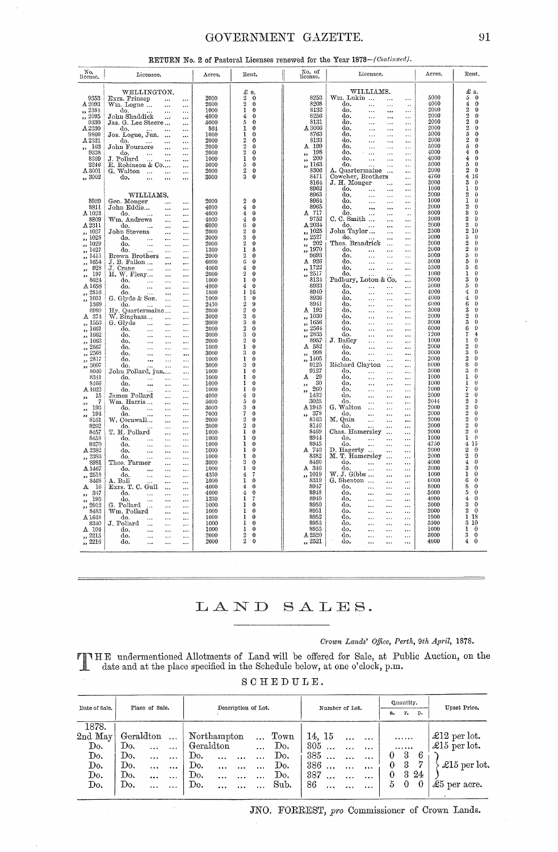# GOVERNMENT GAZETTE.

| Nα,<br>license.                        | Licensee.                                                                       | Acres.       | Rent.                                       | No. of<br>license.                               | Licensee.                                                                      | Acres.       | Rent.                                                      |
|----------------------------------------|---------------------------------------------------------------------------------|--------------|---------------------------------------------|--------------------------------------------------|--------------------------------------------------------------------------------|--------------|------------------------------------------------------------|
|                                        | WELLINGTON.                                                                     |              | £ s.                                        |                                                  | WILLIAMS.                                                                      |              | £ s.                                                       |
| 9353                                   | Exrs. Prinsep<br>$\dddotsc$<br>$\ddotsc$                                        | 2000         | 2<br>$\mathbf 0$                            | 8253                                             | Wm. Lukin<br>$\cdots$<br>$\cdots$                                              | 5000         | $\,$ 5 $\,$<br>$\bf{0}$                                    |
| A 2093                                 | Wm. Logue<br>$\ddotsc$<br>$\ddotsc$                                             | 2000         | $\overline{2}$<br>$\bf{0}$                  | 8208                                             | do.<br>$\ddotsc$<br>$\ddotsc$<br>$\ddot{\phantom{a}}$                          | 4000         | $\frac{4}{2}$<br>0                                         |
| 2334<br>,,                             | do.<br>$\ddotsc$                                                                | 1000         | 1<br>$\Omega$                               | 8132                                             | do.<br>$\ddotsc$<br>$\ddotsc$<br>                                              | 2000         | 0                                                          |
| $\frac{3}{2095}$                       | John Shaddick<br>$\sim$ 4.45<br>                                                | 4000         | 4<br>$\Omega$                               | 8256                                             | do.<br>$\ddotsc$<br>$\cdots$<br>                                               | 2000<br>2000 | $\overline{\mathbf{2}}$<br>0<br>$\mathfrak{D}$<br>$\theta$ |
| 9330                                   | Jas. G. Lee Steere<br>$\ddotsc$                                                 | 5000         | 5<br>0<br>$\theta$                          | 8131<br>A 3006                                   | do.<br>$\ddotsc$<br>$\cdots$<br>                                               | 2000         | $\overline{2}$<br>$\Omega$                                 |
| A.2330<br>9860                         | do.<br>do.<br>Jos. Logue, Jun.<br>$\ldots$                                      | 864<br>1000  | 1<br>1<br>$\Omega$                          | 8763                                             | do.<br>$\ldots$<br><br><br>do.                                                 | 5000         | 5<br>0                                                     |
| A 2331                                 | $\ddotsc$<br>do.<br>$\sim 100$ km $^{-1}$                                       | 2000         | 2<br>$\Omega$                               | 8133                                             | $\ddotsc$<br><br><br>do.<br>$\ddotsc$<br>$\cdots$<br>                          | 2000         | $\overline{2}$<br>0                                        |
|                                        | $\ldots$<br>$\ddotsc$<br>John Fouracre<br>$\ddotsc$<br>$\ddotsc$                | 2000         | $\,2\,$<br>0                                | A 199                                            | do.<br>$\cdots$<br>$\ddotsc$<br>.                                              | 5000         | 5<br>$\theta$                                              |
| $\frac{163}{9338}$                     | do.<br>$\sim$<br>$\ddotsc$<br>$\ddotsc$                                         | 2000         | $\overline{2}$<br>$\Omega$                  | 198<br>,,                                        | do.<br>$\ddotsc$<br>$\cdots$<br>                                               | 4000         | 4<br>0                                                     |
| 8369                                   | J. Pollard<br>                                                                  | 1000         | 1<br>$\theta$                               | 200<br>$\overline{\phantom{a}}$                  | do.<br>$\cdots$<br>$\ldots$<br>.                                               | 4000         | 4<br>0                                                     |
| 2246                                   | E. Robinson & Co<br>$\ddotsc$                                                   | 5000         | 5<br>$\Omega$                               | , 1163                                           | do.<br>$\cdots$<br>$\cdots$<br>$\cdots$                                        | 5000         | 5<br>$\Omega$                                              |
| A 3001                                 | G. Walton<br>$\ddots$<br>$\cdots$                                               | 2000         | $\overline{2}$<br>$\Omega$                  | 8306                                             | A. Quartermaine<br>$\sim$<br>                                                  | 2000         | $\boldsymbol{2}$<br>$\Omega$<br>$\overline{4}$             |
| ,, 3002                                | do.<br>$\ldots$<br>$\ldots$<br>$\cdots$                                         | 3000         | 3<br>$\theta$                               | 8471<br>8164                                     | Cowcher, Brothers<br>$\ddotsc$<br>J. H. Monger                                 | 4760<br>3000 | 16<br>3<br>Ω                                               |
|                                        |                                                                                 |              |                                             | 8962                                             | $\ddotsc$<br><br>do.<br>$\ddotsc$<br>$\ddotsc$<br>$\ddotsc$                    | 1000         | ı<br>o                                                     |
|                                        | WILLIAMS.                                                                       |              |                                             | 8963                                             | do.<br>$\ddotsc$<br>$\cdots$<br>$\cdots$                                       | 2000         | $\overline{2}$<br>Ω                                        |
| 8959                                   | Geo. Monger<br>$\ddotsc$<br>$\cdots$                                            | 2000         | $\overline{2}$<br>$\Omega$                  | 8964                                             | do.<br>$\ddotsc$<br>$\ldots$<br>$\ddotsc$                                      | 1000         | $\mathbf{1}$<br>0                                          |
| 8811                                   | John Eddie<br><br>$\ddotsc$                                                     | 4000         | $\overline{4}$<br>$\theta$                  | 8965                                             | do.<br>$\ldots$<br>$\cdots$<br>                                                | 2000         | $\overline{2}$<br>0                                        |
| A 1023                                 | do.<br>$\ddotsc$<br>$\ddotsc$                                                   | 4000         | 4<br>0                                      | A 717                                            | do.<br>$\ldots$<br>$\ddotsc$<br>$\ddotsc$                                      | 8000         | 8<br>0                                                     |
| 8809                                   | Wm. Andrews<br>$\ddotsc$<br>$\ddotsc$                                           | 4000         | $\overline{4}$<br>$\Omega$                  | 9752                                             | $\mathbf{C}.$ C. Smith $\ldots$<br>$\ddotsc$<br>                               | 2000         | $\overline{2}$<br>$\theta$<br>$\tilde{2}$                  |
| A2311                                  | do.<br>$\cdots$<br>$\cdots$<br>18.58                                            | 6000         | 6<br>$\Omega$                               | A 2034                                           | do.<br><br>$\ddotsc$                                                           | 2000         | 0<br>$\bar{2}$                                             |
| ", 1027                                | John Stevens<br>$\ddotsc$<br>$\ddotsc$                                          | 2000<br>3000 | $\overline{2}$<br>$\theta$<br>3<br>$\Omega$ | ,, 1025<br>,, 2527                               | John Taylor<br>$\ldots$<br>$\ddotsc$<br>do.                                    | 2500<br>5000 | 10<br>$\overline{5}$<br>$\theta$                           |
| ,, 1028<br>.1029                       | do.<br>$\sim$ $\sim$<br><br>$\ddotsc$<br>do.<br>$\cdots$                        | 2000         | $\overline{2}$<br>0                         |                                                  | $\ddotsc$<br>$\ddotsc$<br>Thos. Brandrick<br>$\ddotsc$<br>$\ddotsc$            | 2000         | $\overline{2}$<br>0                                        |
| 1427                                   | $\ldots$<br>$\ddotsc$<br>do.<br>$\ddotsc$<br>$\ddotsc$<br>$\ddotsc$             | 1360         | ı<br>8                                      | $\frac{202}{1970}$                               | do.<br>$\ddotsc$<br>$\cdots$<br>$\cdots$                                       | 2000         | $\tilde{2}$<br>$\theta$                                    |
| ,,<br>1415<br>$\ddot{\phantom{a}}$     | Brown Brothers<br>$\cdots$<br>$\ddotsc$                                         | 2000         | $\overline{2}$<br>$\theta$                  | 9693                                             | do.<br>$\cdots$<br>$\ldots$<br>$\ddotsc$                                       | 5000         | 5<br>$_{0}$                                                |
| ,, 1654                                | J. B. Fallon<br>$\cdots$<br>$\ddotsc$                                           | 6000         | 6<br>$\theta$                               | A 926                                            | do.<br>$\cdots$<br>$\ddotsc$<br>$\ddotsc$                                      | 5000         | $\overline{5}$<br>0                                        |
| , 928                                  | J. Crane<br>$\cdots$<br>$\ddotsc$                                               | 4000         | $\overline{4}$<br>$\bf{0}$                  | ,, 1722                                          | do.<br>$\cdots$<br>$\cdots$<br>$\ddotsc$                                       | 5300         | $\overline{5}$<br>6                                        |
| 197<br>,,                              | H, W. Fleay<br>$\ddotsc$<br>$\cdots$                                            | 2000         | $\overline{2}$<br>$\theta$                  | ,, 2517                                          | do.<br>$\ddotsc$<br>                                                           | 1000         | 1<br>$\Omega$                                              |
| 8624<br>A 1658                         | do.<br>$\sim 100$ and<br>$\cdots$<br>$\ddotsc$                                  | 1000<br>4000 | 1<br>$\theta$<br>$\overline{4}$<br>$\Omega$ | 8134<br>8933                                     | Padbury, Loton & Co.<br><br>do,                                                | 3000<br>5000 | 3<br>$\overline{5}$<br>0                                   |
| ", 2816                                | do.<br>$\ddotsc$<br>$\ddotsc$<br>$\ddotsc$<br>do.<br>$\ddotsc$                  | 1800         | ı<br>16                                     | 8940                                             | $\cdots$<br>$\cdots$<br>$\cdots$<br>do.<br>$\ddotsc$<br>$\ddotsc$<br>$\ddotsc$ | 4000         | $\overline{4}$<br>$\Omega$                                 |
| ,, 1031                                | $\ddotsc$<br>$\ddotsc$<br>G. Glyde & Son.<br>$\ddotsc$<br>$\ddotsc$             | 1000         | ı<br>0                                      | 8936                                             | do.<br>$\ldots$<br>$\ldots$<br>                                                | 4000         | $\overline{4}$<br>0                                        |
| 1369                                   | do.<br>$\sim 100$<br>$\ddotsc$<br>$\ddotsc$                                     | 2450         | $\overline{2}$<br>$\Omega$                  | 8941                                             | do.<br>$\ldots$<br>$\ldots$<br>$\cdots$                                        | 6000         | 6<br>$\bf{0}$                                              |
| 8989                                   | Hy. Quartermaine<br>$\cdots$                                                    | 2000         | $\overline{2}$<br>$\Omega$                  | A 192                                            | do.<br><br>$\cdots$<br>                                                        | 3000         | 3<br>$\bf{0}$                                              |
| A 374                                  | W. Bingham<br>$\ddotsc$<br>$\ddotsc$                                            | 3000         | 3<br>$\Omega$                               | ,, 1030                                          | do.<br>$\ddotsc$<br>$\cdots$<br>$\ddotsc$                                      | 2000         | $\boldsymbol{2}$<br>$\bf{0}$                               |
| ,, 1553                                | G. Glyde<br>$\cdots$<br>$\cdots$<br>$\cdots$                                    | 3000         | 3<br>$\theta$                               | ,, 1656                                          | do.<br>$\cdots$<br>$\ddotsc$<br>                                               | 3000         | $\overline{3}$<br>$\theta$                                 |
| ,, 1661                                | do.<br>$\ddotsc$<br>$\cdots$<br>$\ddotsc$                                       | 2000         | $\overline{2}$<br>$\theta$                  | , 2564                                           | do.<br><br>$\ddotsc$<br>$\ddotsc$                                              | 6000         | 6<br>$\theta$                                              |
| ,, 1662                                | do.<br>$\ldots$<br>$\cdots$<br>$\ddotsc$<br>do.                                 | 3000<br>2000 | 3<br>0<br>$\overline{2}$<br>$\theta$        | , 2835<br>8957                                   | do.<br>$\ddotsc$<br>$\cdots$<br>$\ddotsc$<br>J. Bailey                         | 7200<br>1000 | 7<br>4<br>$\bf{0}$<br>ı                                    |
| ,, 1663<br>2567                        | $\ddotsc$<br>$\cdots$<br>$\ddotsc$<br>do.<br>$\ldots$                           | 1000         | ı<br>$\Omega$                               | A 582                                            | $\cdots$<br>$\cdots$<br>$\ddotsc$<br>do.<br>$\ddotsc$<br>$\ddotsc$<br>         | 2000         | $\overline{2}$<br>$\bf{0}$                                 |
| $\bullet$<br>2568                      | $\ddot{\phantom{a}}$<br>$\ddotsc$<br>do.<br>$\ddotsc$<br>$\ddotsc$<br>$\ddotsc$ | 3000         | 3<br>$\theta$                               | 998<br>55 <sub>1</sub>                           | do.<br><br>.<br>                                                               | 3000         | $\tilde{\textbf{3}}$<br>0                                  |
| ,,<br>2817<br>$\overline{\phantom{a}}$ | do.<br>$\ddotsc$<br>$\ddotsc$<br>$\ddotsc$                                      | 1000         | ı<br>$\Omega$                               | ,, 1405                                          | dо.<br>$\cdots$<br>$\ldots$<br>$\ldots$                                        | 2000         | $\bar{2}$<br>$\bf{0}$                                      |
| ,, 3007                                | do.<br>$\ldots$<br>$\ddotsc$                                                    | 3000         | 3<br>$\theta$                               | 9125                                             | Richard Clayton<br>$\cdots$<br>$\ddotsc$                                       | 8000         | 8<br>$\bf{0}$                                              |
| 8040                                   | John Pollard, jun<br>$\ddotsc$                                                  | 1000         | ı<br>$\theta$                               | 9127                                             | do.<br>$\ldots$<br>$\cdots$<br>                                                | 3000         | 3<br>$\theta$                                              |
| 8341                                   | do,<br>$\sim$ $\sim$<br>$\ddotsc$<br>$\ddotsc$                                  | 1000         | ı<br>$\theta$                               | $\begin{array}{cc} 4 & 29 \\ . & 30 \end{array}$ | do.<br><br><br>                                                                | 1000         | ı<br>$\Omega$                                              |
| 8466<br>A 1022                         | do.<br>$\ddotsc$<br>$\cdots$                                                    | 1000<br>1000 | 1<br>0<br>$\mathbf{I}$<br>0                 | $\bullet$<br>$260\,$                             | do.<br>$\ddotsc$<br>$\cdots$<br>$\cdots$<br>do.                                | 1000<br>7000 | ı<br>$\bf{0}$<br>7<br>0                                    |
| 15                                     | do.<br>$\ldots$<br>$\ddotsc$<br>James Pollard                                   | 4000         | 4<br>$\Omega$                               | ,,<br>1433                                       | $\ddotsc$<br>$\cdots$<br>$\cdots$<br>do.<br>$\ddots$<br>$\ldots$<br>$\cdots$   | 2000         | $\boldsymbol{0}$                                           |
| 33<br>7                                | $\ddotsc$<br>$\ddotsc$<br>Wm. Harris<br>$\ddotsc$<br>$\ddotsc$                  | 5000         | $\overline{5}$<br>$\Omega$                  | 3025                                             | do.<br><br>$\ldots$<br>                                                        | 2044         | $\frac{2}{2}$<br>5                                         |
| 33<br>193<br>55                        | do.<br>$\sim$<br>$\ldots$<br>$\ddotsc$                                          | 3000         | 3<br>$\bf{0}$                               | A 1945                                           | G. Walton<br>$\cdots$<br>$\ldots$<br>                                          | 2000         | $\bar{2}$<br>$\theta$                                      |
| 194<br>33                              | do.<br>$\ldots$<br>$\cdots$<br>$\cdots$                                         | 7000         | 7<br>0                                      | ,, 378                                           | do.<br>$\ddotsc$<br><br>$\cdots$                                               | 2000         | $\overline{2}$<br>$\bf{0}$                                 |
| 8161                                   | W. Cornwall<br>$\cdots$<br>$\ddotsc$                                            | 2000         | $\overline{2}$<br>$\theta$                  | 8163                                             | M. Quin<br>$\cdots$<br>$\cdots$<br>$\ddotsc$                                   | 2000         | $\overline{2}$<br>$\bf{0}$<br>$\tilde{2}$                  |
| 8262                                   | do.<br>$\ddotsc$<br>$\ddotsc$                                                   | 2000         | $\overline{2}$<br>$\Omega$                  | 8146                                             | do.<br><br>                                                                    | 2000         | $\theta$<br>$\overline{\mathbf{2}}$<br>$\bf{0}$            |
| 8457<br>8453                           | T. H. Pollard<br>$\cdots$<br>$\ddotsc$<br>do.                                   | 1000<br>1000 | ı<br>$\theta$<br>1<br>0                     | 8469<br>8944                                     | Chas. Hamersley<br>.<br><br>do.<br>$\ddotsc$                                   | 2000<br>1000 | ı<br>0                                                     |
| 8370                                   | $\ddotsc$<br>$\ldots$<br><br>do.<br>$\cdots$                                    | 1000         | 1<br>0                                      | 8945                                             | $\ddotsc$<br>$\cdots$<br>do.<br>$\ddotsc$<br>$\cdots$<br>$\cdots$              | 4750         | $\bf 4$<br>15                                              |
| A 2382                                 | $\ddotsc$<br>$\ldots$<br>do.<br>$\ddotsc$<br>$\ddotsc$<br>$\ddotsc$             | 1000         | ı<br>$\Omega$                               | $\Delta$ 743                                     | D. Hagerty<br><br>                                                             | 2000         | $\bf{0}$                                                   |
| 2383<br>,,                             | do.<br>$\ddotsc$<br>$\cdots$<br>                                                | 1000         | ı<br>$\theta$                               | 8382                                             | M. T. Hamersley<br>$\cdots$<br>$\cdots$                                        | 2000         | $\frac{2}{2}$<br>$\theta$                                  |
| 8981                                   | Thos. Farmer<br>$\ddotsc$<br>$\ddots$                                           | 3000         | 3<br>$\theta$                               | 8460                                             | do.<br>$\cdots$<br>$\cdots$<br>$\ddotsc$                                       | 4000         | $\overline{4}$<br>$\theta$                                 |
| A 1467                                 | do.<br>$\cdots$<br>$\ldots$<br>$\ddotsc$                                        | 1000         | ı<br>$\theta$                               | A 346                                            | do.<br>$\cdots$<br>$\cdots$<br>$\cdots$                                        | 3000         | 3<br>$\bf{0}$                                              |
| ,, 2518                                | do.<br>$\cdots$<br>$\ddotsc$<br>$\cdots$                                        | 4350         | $\overline{4}$<br>7                         | ,, 1019                                          | W. J. Gibbs<br>$\cdots$<br>                                                    | 1000         | ı<br>$\theta$                                              |
| 8468                                   | A. Ball<br>$\ddotsc$<br>                                                        | 1000         | 1<br>$\Omega$                               | 8319                                             | G. Shenton<br><br>$\ddotsc$                                                    | 6000         | 6                                                          |
| $A$ 16                                 | Exrs. T. C. Gull<br>$\ddotsc$<br>$\ldots$                                       | 4000<br>4000 | $\bf 4$<br>0<br>4<br>0                      | 8947<br>8948                                     | do.<br>$\ddotsc$<br>$\cdots$<br>$\ddotsc$<br>do.                               | 8000<br>5000 | 8<br>$\bf{0}$<br>5<br>$\mathbf 0$                          |
| 347<br>,,<br>195                       | do.<br>$\ddotsc$<br>$\ddotsc$<br>$\ddotsc$<br>do.<br>$\dddotsc$                 | 1330         | Ĩ.                                          | 8949                                             | $\cdots$<br>$\ddotsc$<br>$\ddotsc$<br>do.<br>$\cdots$<br>$\ddotsc$<br>         | 4000         | 4<br>$\theta$                                              |
| 99<br>2012                             | $\ddot{\phantom{a}}$<br>$\cdots$<br>G. Pollard<br>$\ddotsc$<br>$\ddotsc$        | 1000         | 1<br>0                                      | 8950                                             | do.<br>$\ldots$<br>$\ldots$<br>                                                | 3000         | 3<br>$\bf{0}$                                              |
| $\;$ ,<br>8483                         | Wm. Pollard<br>$\ddotsc$<br>$\ldots$                                            | 1000         | ı<br>$\Omega$                               | 8951                                             | do.<br>$\cdots$<br>$\cdots$<br>                                                | 2000         | $\overline{2}$<br>$\bf{0}$                                 |
| A1648                                  | do.<br>$\ldots$<br>$\ddotsc$<br>$\ddotsc$                                       | 1000         | ı<br>$\theta$                               | 8952                                             | do.<br>$\ddotsc$<br>$\cdots$<br>$\cdots$                                       | 1900         | $\mathbf{1}$<br>18                                         |
| 8340                                   | J. Pollard<br>$\cdots$<br>$\ddotsc$<br>$\ddotsc$                                | 1000         | ı<br>$\Omega$                               | 8953                                             | do.<br>$\cdots$<br>$\ddotsc$<br>$\cdots$                                       | 3500         | 3<br>10                                                    |
| $\Lambda$ $104$                        | do.<br>$\ddotsc$<br>$\ddotsc$<br>$\cdots$                                       | 1000         | 1<br>0                                      | 8955                                             | do.<br><br>$\ddotsc$<br>                                                       | 1000         | 1<br>0                                                     |
| , 2215                                 | do.<br>$\ddotsc$<br><br>                                                        | 2000<br>2000 | 2<br>0<br>$\overline{2}$<br>$\bf{0}$        | A2520<br>,, 2521                                 | do.<br>$\ddotsc$<br>$\ddotsc$<br><br>do.                                       | 3000<br>4000 | 3<br>0<br>4<br>$\bf{0}$                                    |
| ,, 2216                                | do.<br>$\ddotsc$<br>$\cdots$<br>                                                |              |                                             |                                                  | $\ddotsc$<br>$\ddotsc$<br>$\ddotsc$                                            |              |                                                            |

# RETURN No. 2 of Pastoral Licenses renewed for the Year 1878-(Continued).

# LAND SALES.

# Crown Lands' Office, Perth, 9th April, 1878.

TIME undermentioned Allotments of Land will be offered for Sale, at Public Auction, on the date and at the place specified in the Schedule below, at one o'clock, p.m.

|  | SCHEDULE. |  |  |  |
|--|-----------|--|--|--|
|  |           |  |  |  |

| Date of Sale.                                                   |                                              | Place of Sale.                           |                                                     | Description of Lot.                     |                                                            |              |                                                           |                                                        | Number of Lot.                                                     |                          | а.                                            | Quantity.<br>$\mathbf{r}_{\bullet}$ | р.                                  | Upset Price.          |                                                                     |
|-----------------------------------------------------------------|----------------------------------------------|------------------------------------------|-----------------------------------------------------|-----------------------------------------|------------------------------------------------------------|--------------|-----------------------------------------------------------|--------------------------------------------------------|--------------------------------------------------------------------|--------------------------|-----------------------------------------------|-------------------------------------|-------------------------------------|-----------------------|---------------------------------------------------------------------|
| 1878.<br>2nd May<br>Do.<br>Do.<br>Do.<br>$\mathbf{Do}$ .<br>Do. | Geraldton<br>Do.<br>Do.<br>Do.<br>Do.<br>Do. | <br>$\cdots$<br>$\cdots$<br><br>$\cdots$ | $\ddotsc$<br>$\ddotsc$<br>$\ddotsc$<br><br>$\cdots$ | Northampton<br>Do.<br>Do.<br>Do.<br>Do. | Geraldton<br>$\ddotsc$<br>$\cdots$<br>$\cdots$<br>$\cdots$ | $\cdots$<br> | $\ddotsc$<br>$\cdots$<br>$\cdots$<br>$\cdots$<br>$\cdots$ | $_{\mathrm{Town}}$<br>Do.<br>Do.<br>Do.<br>Do.<br>Sub. | 14, 15<br>305<br>385<br>386<br>387<br>$\ddotsc$<br>86<br>$\ddotsc$ | <br>$\cdots$<br>$\cdots$ | $\cdots$<br>$\ddotsc$<br>$\cdots$<br>$\cdots$ | $\theta$<br>$\Omega$<br>0<br>5      | $\cdots$<br><br>3<br>-3<br>$\bf{0}$ | -6<br>לי<br>3 24<br>0 | £12 per lot.<br>£15 per lot.<br>£15 per lot<br>$\pounds5$ per acre. |
|                                                                 |                                              |                                          |                                                     |                                         |                                                            |              |                                                           |                                                        |                                                                    |                          |                                               |                                     |                                     |                       |                                                                     |

JNO. FORREST, pro Commissioner of Crown Lands.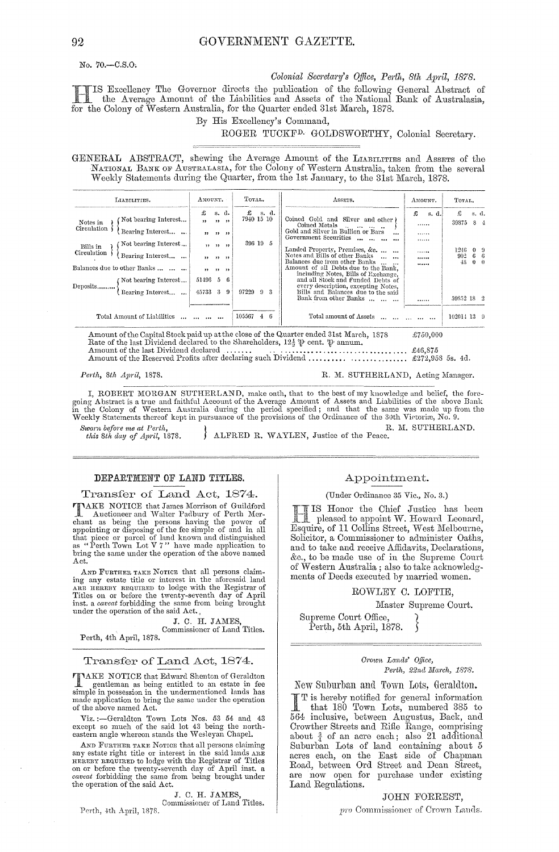No. 70.-C.S.O.

#### Colonial Secretary's Office, Perth, 8th April, 1878.

IS Excellency The Governor directs the publication of the following General Abstract of the Average Amount of the Liabilities and Assets of the National Bank of Australasia, for the Colony of Western Australia, for the Quarter ended 31st March, 1878.

By His Excellency's Command,

# ROGER TUCKF<sup>D.</sup> GOLDSWORTHY, Colonial Secretary.

GENERAL ABSTRACT, shewing the Average Amount of the LIABILITIES and ASSETS of the NATIONAL BANK OF AUSTRALASIA, for the Colony of Western Australia, taken from the several Weekly Statements during the Quarter, from the 1st January, to the 31st March, 1878.

| LIABILITIES.            |                                                                  | AMOUNT.            |                                                  |          | TOTAL.                      |       |       | ASSETS.<br>AMOUNT.                                                                                                                                                                                                       | TOTAL.            |                                              |  |
|-------------------------|------------------------------------------------------------------|--------------------|--------------------------------------------------|----------|-----------------------------|-------|-------|--------------------------------------------------------------------------------------------------------------------------------------------------------------------------------------------------------------------------|-------------------|----------------------------------------------|--|
| Notes in<br>Circulation | Not bearing Interest<br>Bearing Interest<br>Not bearing Interest | £<br>$, \,$<br>, , | s. d.<br>, 1, 1, 1<br>$22 \t 22 \t 22$<br>, 1, 1 |          | £<br>7940 15 10<br>396 19 5 |       | s. d. | £<br>s. d.<br>Coined Gold and Silver and other<br>Coined Metals<br><br>the company of the company<br>Gold and Silver in Bullion or Bars<br>$\cdots$<br><br>Government Securities<br>                                     | £<br>39375        | s. d.<br>8.                                  |  |
| Bills in<br>Circulation | Bearing Interest<br>Balances due to other Banks                  | 12 <sub>1</sub>    | $\cdots$                                         |          |                             |       |       | Landed Property, Premises, &c.<br><br>Notes and Bills of other Banks<br><b>Sales State</b><br><br>Balances due from other Banks<br>******<br>Amount of all Debts due to the Bank,<br>including Notes, Bills of Exchange, | 1246<br>992<br>48 | $0 \quad 9$<br>6 <sub>6</sub><br>$0 \quad 0$ |  |
| Deposits                | (Not bearing Interest<br>Bearing Interest                        | 51496<br>45733 3   | -5                                               | -6<br>-9 | 97229                       | $9 -$ |       | and all Stock and Funded Debts of<br>every description, excepting Notes,<br>Bills and Balances due to the said<br>Bank from other Banks<br>                                                                              | 59852 18 2        |                                              |  |
|                         | Total Amount of Liabilities                                      |                    |                                                  |          | 105567                      | 4.    |       | Total amount of Assets                                                                                                                                                                                                   | 102014 13 9       |                                              |  |

Amount of the Capital Stock paid up at the close of the Quarter ended 31st March, 1878<br>Rate of the last Dividend declared to the Shareholders,  $12\frac{1}{2}$   $\psi$  cent.  $\psi$  annum,<br>Amount of the last Dividend declared £750,000 

Perth, 8th April, 1878.

R. M. SUTHERLAND, Acting Manager.

I, ROBERT MORGAN SUTHERLAND, make oath, that to the best of my knowledge and belief, the foregoing Abstract is a true and faithful Account of the Average Amount of Assets and Liabilities of the above Bank in the Colony of R. M. SUTHERLAND.

Sworn before me at Perth this 8th day of April, 1878.

ALFRED R. WAYLEN, Justice of the Peace.

## DEPARTMENT OF LAND TITLES.

Transfer of Land Act, 1874.

TAKE NOTICE that James Morrison of Guildford **TAKE NOTICE that same is mortgoth of Perth Me-**<br>chant as being the presons having the power of<br>appointing or disposing of the fee simple of and in all<br>that piece or parcel of land known and distinguished<br>as "Perth Town Lo bring the same under the operation of the above named Act.

AND FURTHER TAKE NOTICE that all persons claiming any estate title or interest in the aforesaid land ARE HEREBY REQUIRED to lodge with the Registrar of Titles on or before the twenty-seventh day of April inst. a *caveat* forbidding the same from being brought under the operation of the said  $Act.$ 

J. C. H. JAMES Commissioner of Land Titles.

Perth, 4th April, 1878.

#### Transfer of Land Act, 1874.

TAKE NOTICE that Edward Shenton of Geraldton gentleman as being entitled to an estate in fee<br>simple in possession in the undermentioned lands has made application to bring the same under the operation<br>of the above named Act.

Viz.:--Geraldton Town Lots Nos.  $53\,54$  and  $43$  except so much of the said lot  $43$  being the north-eastern angle whereon stands the Wesleyan Chapel.

AND FURTHER TAKE NOTICE that all persons claiming any estate right title or interest in the said lands ARE HEREBY REQUIRED to lodge with the Registrar of Titles on or before the twenty-seventh day of April inst. a caveat forbidding the same from being brought under the operation of the said Act.

J. C. H. JAMES

Commissioner of Land Titles. Perth, 4th April, 1878.

Appointment.

#### (Under Ordinance 35 Vic., No. 3.)

IS Honor the Chief Justice has been<br>I pleased to appoint W. Howard Leonard, Esquire, of 11 Collins Street, West Melbourne, Solicitor, a Commissioner to administer Oaths, and to take and receive Affidavits, Declarations, &c., to be made use of in the Supreme Court of Western Australia; also to take acknowledgments of Deeds executed by married women.

#### ROWLEY C. LOFTIE,

Master Supreme Court.

Supreme Court Office Perth, 5th April, 1878.

#### Crown Lands' Office, Perth, 22nd March, 1878.

New Suburban and Town Lots, Geraldton.

T is hereby notified for general information that 180 Town Lots, numbered 385 to 564 inclusive, between Augustus, Back, and Crowther Streets and Rifle Range, comprising about  $\frac{3}{4}$  of an acre each; also 21 additional Suburban Lots of land containing about 5<br>acres each, on the East side of Chapman<br>Road, between Ord Street and Dean Street, are now open for purchase under existing Land Regulations.

#### JOHN FORREST,

pro Commissioner of Crown Lands.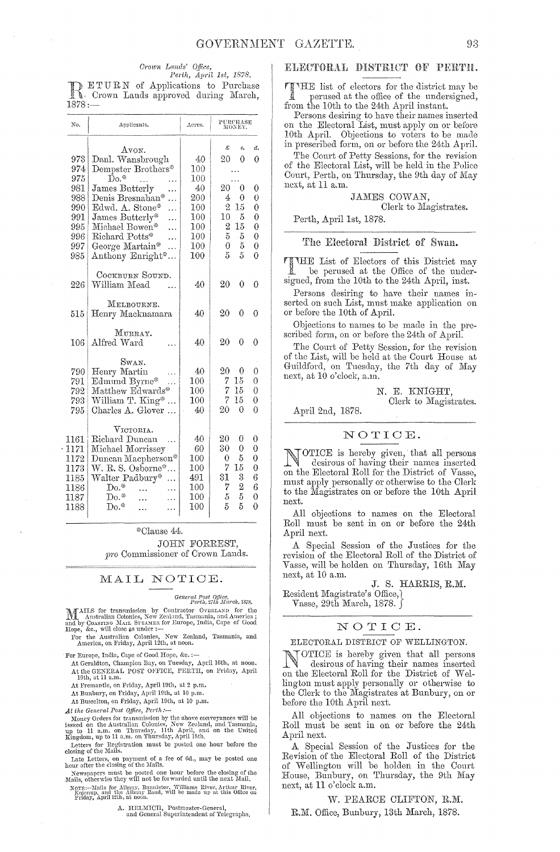#### Crown Lands' Office.

Perth, April 1st, 1878. DETURN of Applications to Purchase  $1878:$ 

| No.                                                          | Applicants.                                                                                                                                                                | Acres.                                                 | PURCHASE<br>MONEY.                                                                                                                             |
|--------------------------------------------------------------|----------------------------------------------------------------------------------------------------------------------------------------------------------------------------|--------------------------------------------------------|------------------------------------------------------------------------------------------------------------------------------------------------|
|                                                              | Avon.                                                                                                                                                                      |                                                        | Ŀ<br>ð.<br>s.                                                                                                                                  |
| 973                                                          | Danl. Wansbrough                                                                                                                                                           | 40                                                     | $\Omega$<br>20<br>0                                                                                                                            |
| 974                                                          | Dempster Brothers*                                                                                                                                                         | $100\,$                                                |                                                                                                                                                |
| 975                                                          | $\rm{Do}$ *                                                                                                                                                                | 100                                                    |                                                                                                                                                |
| 981                                                          | James Butterly                                                                                                                                                             | 40                                                     | 20<br>0<br>0                                                                                                                                   |
| 988                                                          | Denis Bresnahan*                                                                                                                                                           | 200                                                    | 4<br>0<br>$\theta$                                                                                                                             |
| 990                                                          | Edwd. A. Stone*                                                                                                                                                            | 100                                                    | 2<br>15<br>0                                                                                                                                   |
| 991                                                          | James Butterly*                                                                                                                                                            | $100\,$                                                | 10<br>5<br>$\theta$                                                                                                                            |
| 995                                                          | Michael Bowen*                                                                                                                                                             | 100                                                    | 15<br>0<br>2                                                                                                                                   |
| 996                                                          | Richard Potts*                                                                                                                                                             | $100\,$                                                | 5<br>$\overline{0}$<br>5                                                                                                                       |
| 997                                                          | George Martain*                                                                                                                                                            | 100                                                    | 0<br>5<br>$\overline{0}$                                                                                                                       |
| 985                                                          | Anthony Enright*                                                                                                                                                           | 100                                                    | 5<br>5<br>$\theta$                                                                                                                             |
| 226                                                          | COCKBURN SOUND.<br>William Mead                                                                                                                                            | 40                                                     | 20<br>0<br>0                                                                                                                                   |
| 515                                                          | MELBOURNE.<br>Henry Macknamara                                                                                                                                             | 40                                                     | 20<br>$\Omega$<br>0                                                                                                                            |
| 106                                                          | MURRAY.<br>Alfred Ward                                                                                                                                                     | 40                                                     | 20<br>0<br>0                                                                                                                                   |
| 790.<br>791<br>792<br>793<br>795                             | SWAN.<br>Henry Martin<br>Edmund Byrne*<br>Matthew Edwards*<br>William T. King*<br>Charles A. Glover                                                                        | 40<br>100<br>100<br>100<br>40                          | 20<br>0<br>0<br>7<br>15<br>0<br>15<br>7<br>$\theta$<br>15<br>7<br>0<br>$\theta$<br>20<br>0                                                     |
| 1161<br>1171<br>1172<br>1173<br>1185<br>1186<br>1187<br>1188 | $V_{\rm ICTORIA}$ .<br>Richard Duncan<br>Michael Morrissey<br>Duncan Macpherson*<br>W. R. S. Osborne*<br>$\ddotsc$<br>Walter Padbury*<br>$Do.*$<br>$Do.*$<br>${\rm Do}.^*$ | 40<br>60<br>100<br>100<br>491<br>100<br>100<br>$100\,$ | 20<br>0<br>0<br>30<br>0<br>0<br>5<br>0<br>0<br>7<br>15<br>$\boldsymbol{0}$<br>3<br>6<br>31<br>6<br>7<br>2<br>5<br>5<br>0<br>5<br>5<br>$\theta$ |

\*Clause 44.

JOHN FORREST, pro Commissioner of Crown Lands.

#### MAIL NOTICE.

General Post Office,<br>Perth, 27th March, 1878.

for the Australian Colonies, New Zealand, Tasmania, and America, on Friday, April 12th, at noon. For

For Europe, India, Cape of Good Hope, &c. :-

At Geraldton, Champion Bay, on Tuesday, April 16th, at noon.<br>At the GENERAL POST OFFICE, PERTH, on Friday, April 19th, at 11 a.m.

At Fremantle, on Friday, April 19th, at 2 p.m.

At Bunbury, on Friday, April 19th, at 10 p.m.

At Busselton, on Friday, April 19th, at 10 p.m.

At the General Post Office, Perth:-

 $\label{eq:main} \begin{array}{ll} \textbf{a}.\ \textit{one over} \ \textit{out} \ \textit{cos} \ \textit{type}, \ \textit{rent} \ \textit{i}\text{---} \\ \textbf{Money Orders} \ \textit{for} \ \textit{transmission} \ \textit{by} \ \textit{the above converances} \ \textit{will be} \\ \textit{isseed on the Australian Colonies, New Zealand, and Tasmani, up to 11 a.m. on Thursday, 1th April, and on the United Kingdom, up to 11 a.m. on Thursday, April 18th. \end{array}$ 

Letters for Registration must be posted one hour before the closing of the Mails.

Late Letters, on payment of a fee of 6d., may be posted one<br>hour after the closing of the Mails.<br>Newspapers must be posted one hour before the closing of the<br>Mails, otherwise they will not be forwarded until the next Mail.

Norrs:—Mails for Albany, Bannister, Williams River, Arthur River, Kojonap, and the Albany Road, will be made up at this Office on Friday, April 12th, at noon.

A. HELMICH, Postmaster-General,<br>and General Superintendent of Telegraphs.

#### ELECTORAL DISTRICT OF PERTH.

THE list of electors for the district may be **Road** perused at the office of the undersigned, from the 10th to the 24th April instant.

Persons desiring to have their names inserted<br>on the Electoral List, must apply on or before 10th April. Objections to voters to be made in prescribed form, on or before the 24th April.

The Court of Petty Sessions, for the revision of the Electoral List, will be held in the Police Court, Perth, on Thursday, the 9th day of May next, at 11 a.m.

## JAMES COWAN, Clerk to Magistrates.

Perth, April 1st, 1878.

#### The Electoral District of Swan.

THE List of Electors of this District may be perused at the Office of the undersigned, from the 10th to the 24th April, inst.

Persons desiring to have their names inserted on such List, must make application on or before the 10th of April.

Objections to names to be made in the prescribed form, on or before the 24th of April.

The Court of Petty Session, for the revision<br>of the List, will be held at the Court House at Guildford, on Tuesday, the 7th day of May next, at 10 o'clock, a.m.

> N. E. KNÍGHT. Clerk to Magistrates.

April 2nd, 1878.

#### NOTICE.

OTICE is hereby given, that all persons desirous of having their names inserted on the Electoral Roll for the District of Vasse, must apply personally or otherwise to the Clerk to the Magistrates on or before the 10th April next.

All objections to names on the Electoral Roll must be sent in on or before the 24th April next.

A Special Session of the Justices for the revision of the Electoral Roll of the District of Vasse, will be holden on Thursday, 16th May next, at 10 a.m.

J. S. HARRIS, R.M. Resident Magistrate's Office,

Vasse, 29th March, 1878. ∫

#### NOTICE.

ELECTORAL DISTRICT OF WELLINGTON.

OTICE is hereby given that all persons desirous of having their names inserted<br>on the Electoral Roll for the District of Wellington must apply personally or otherwise to<br>the Clerk to the Magistrates at Bunbury, on or before the 10th April next.

All objections to names on the Electoral Roll must be sent in on or before the 24th April next.

A Special Session of the Justices for the Revision of the Electoral Roll of the District of Wellington will be holden in the Court House, Bunbury, on Thursday, the 9th May next, at 11 o'clock a.m.

W. PEARCE CLIFTON, R.M.

R.M. Office, Bunbury, 13th March, 1878.